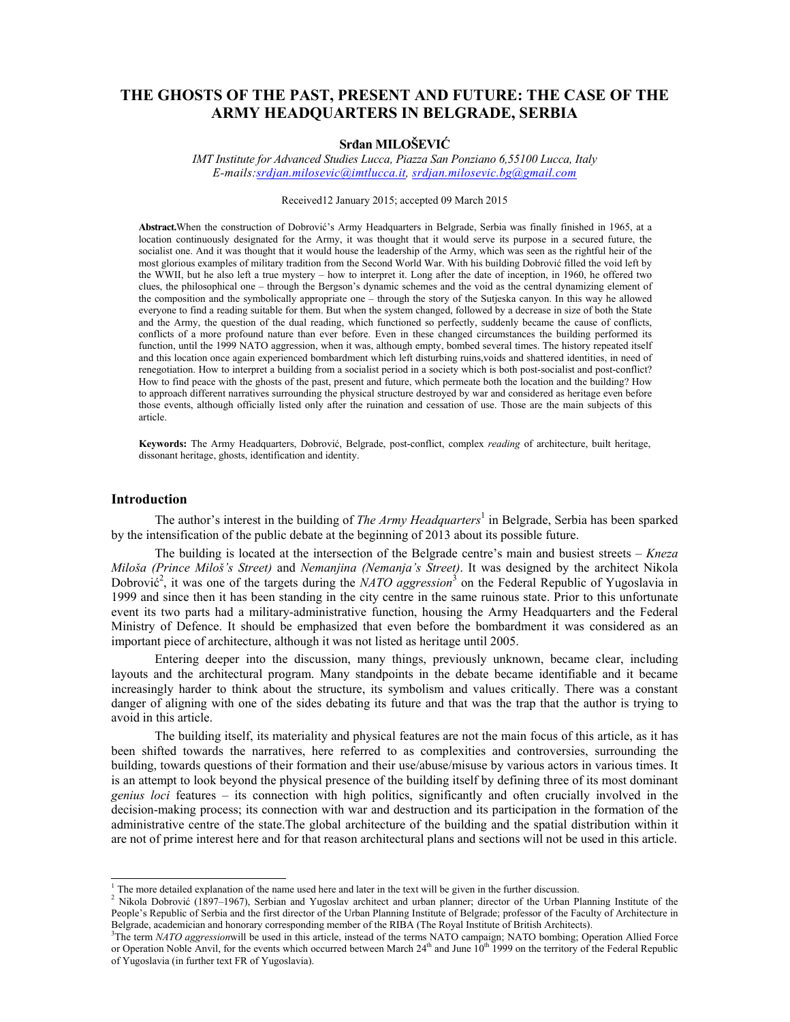# **THE GHOSTS OF THE PAST, PRESENT AND FUTURE: THE CASE OF THE ARMY HEADQUARTERS IN BELGRADE, SERBIA**

## **Srđan MILOŠEVIĆ**

*IMT Institute for Advanced Studies Lucca, Piazza San Ponziano 6,55100 Lucca, Italy E-mails:srdjan.milosevic@imtlucca.it, srdjan.milosevic.bg@gmail.com*

Received12 January 2015; accepted 09 March 2015

**Abstract.**When the construction of Dobrović's Army Headquarters in Belgrade, Serbia was finally finished in 1965, at a location continuously designated for the Army, it was thought that it would serve its purpose in a secured future, the socialist one. And it was thought that it would house the leadership of the Army, which was seen as the rightful heir of the most glorious examples of military tradition from the Second World War. With his building Dobrović filled the void left by the WWII, but he also left a true mystery – how to interpret it. Long after the date of inception, in 1960, he offered two clues, the philosophical one – through the Bergson's dynamic schemes and the void as the central dynamizing element of the composition and the symbolically appropriate one – through the story of the Sutjeska canyon. In this way he allowed everyone to find a reading suitable for them. But when the system changed, followed by a decrease in size of both the State and the Army, the question of the dual reading, which functioned so perfectly, suddenly became the cause of conflicts, conflicts of a more profound nature than ever before. Even in these changed circumstances the building performed its function, until the 1999 NATO aggression, when it was, although empty, bombed several times. The history repeated itself and this location once again experienced bombardment which left disturbing ruins,voids and shattered identities, in need of renegotiation. How to interpret a building from a socialist period in a society which is both post-socialist and post-conflict? How to find peace with the ghosts of the past, present and future, which permeate both the location and the building? How to approach different narratives surrounding the physical structure destroyed by war and considered as heritage even before those events, although officially listed only after the ruination and cessation of use. Those are the main subjects of this article.

**Keywords:** The Army Headquarters, Dobrović, Belgrade, post-conflict, complex *reading* of architecture, built heritage, dissonant heritage, ghosts, identification and identity.

### **Introduction**

The author's interest in the building of *The Army Headquarters*<sup>1</sup> in Belgrade, Serbia has been sparked by the intensification of the public debate at the beginning of 2013 about its possible future.

The building is located at the intersection of the Belgrade centre's main and busiest streets – *Kneza Miloša (Prince Miloš's Street)* and *Nemanjina (Nemanja's Street)*. It was designed by the architect Nikola Dobrović<sup>2</sup>, it was one of the targets during the *NATO aggression*<sup>3</sup> on the Federal Republic of Yugoslavia in 1999 and since then it has been standing in the city centre in the same ruinous state. Prior to this unfortunate event its two parts had a military-administrative function, housing the Army Headquarters and the Federal Ministry of Defence. It should be emphasized that even before the bombardment it was considered as an important piece of architecture, although it was not listed as heritage until 2005.

Entering deeper into the discussion, many things, previously unknown, became clear, including layouts and the architectural program. Many standpoints in the debate became identifiable and it became increasingly harder to think about the structure, its symbolism and values critically. There was a constant danger of aligning with one of the sides debating its future and that was the trap that the author is trying to avoid in this article.

The building itself, its materiality and physical features are not the main focus of this article, as it has been shifted towards the narratives, here referred to as complexities and controversies, surrounding the building, towards questions of their formation and their use/abuse/misuse by various actors in various times. It is an attempt to look beyond the physical presence of the building itself by defining three of its most dominant *genius loci* features – its connection with high politics, significantly and often crucially involved in the decision-making process; its connection with war and destruction and its participation in the formation of the administrative centre of the state.The global architecture of the building and the spatial distribution within it are not of prime interest here and for that reason architectural plans and sections will not be used in this article.

<sup>&</sup>lt;sup>1</sup> The more detailed explanation of the name used here and later in the text will be given in the further discussion.<br><sup>2</sup> Nikola Debraviá (1997-1967), Serbian and Vyaseley explited and when planner, discotor of the Urban

 $^2$  Nikola Dobrović (1897–1967), Serbian and Yugoslav architect and urban planner; director of the Urban Planning Institute of the People's Republic of Serbia and the first director of the Urban Planning Institute of Belgrade; professor of the Faculty of Architecture in Belgrade, academician and honorary corresponding member of the RIBA (The Royal Institute of British Architects). 3

<sup>&</sup>lt;sup>3</sup>The term *NATO aggression* will be used in this article, instead of the terms NATO campaign; NATO bombing; Operation Allied Force or Operation Noble Anvil, for the events which occurred between March 24<sup>th</sup> and June 10<sup>th</sup> 1999 on the territory of the Federal Republic of Yugoslavia (in further text FR of Yugoslavia).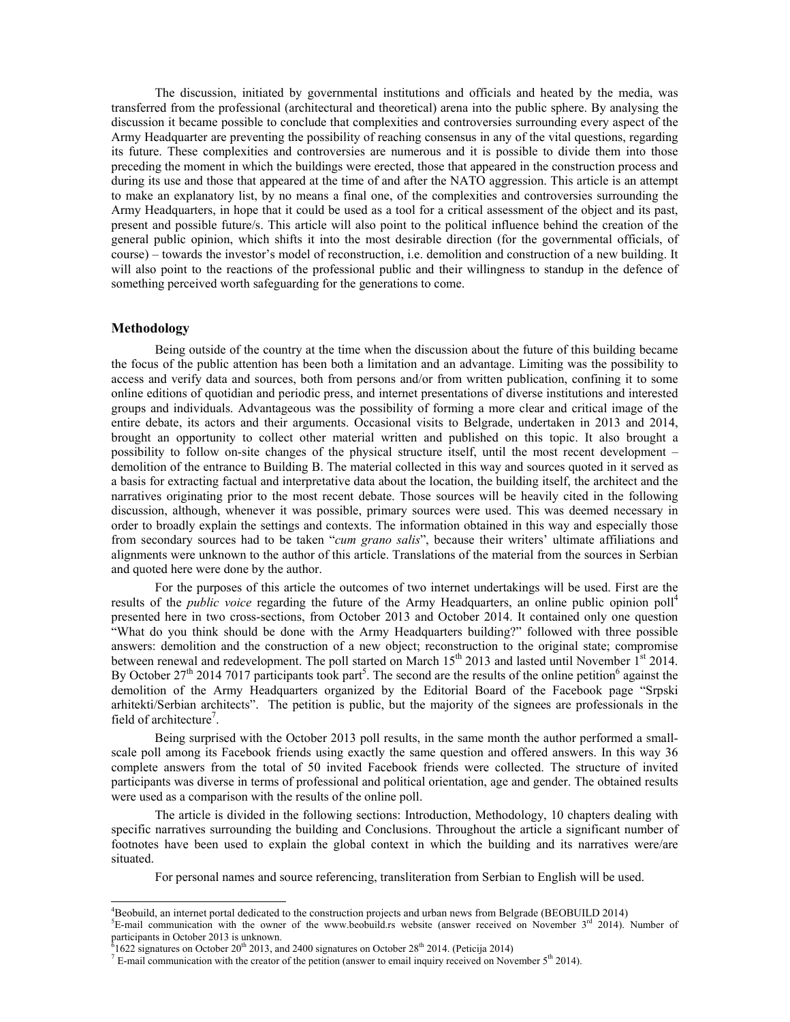The discussion, initiated by governmental institutions and officials and heated by the media, was transferred from the professional (architectural and theoretical) arena into the public sphere. By analysing the discussion it became possible to conclude that complexities and controversies surrounding every aspect of the Army Headquarter are preventing the possibility of reaching consensus in any of the vital questions, regarding its future. These complexities and controversies are numerous and it is possible to divide them into those preceding the moment in which the buildings were erected, those that appeared in the construction process and during its use and those that appeared at the time of and after the NATO aggression. This article is an attempt to make an explanatory list, by no means a final one, of the complexities and controversies surrounding the Army Headquarters, in hope that it could be used as a tool for a critical assessment of the object and its past, present and possible future/s. This article will also point to the political influence behind the creation of the general public opinion, which shifts it into the most desirable direction (for the governmental officials, of course) – towards the investor's model of reconstruction, i.e. demolition and construction of a new building. It will also point to the reactions of the professional public and their willingness to standup in the defence of something perceived worth safeguarding for the generations to come.

### **Methodology**

 $\overline{\phantom{0}}$ 

 Being outside of the country at the time when the discussion about the future of this building became the focus of the public attention has been both a limitation and an advantage. Limiting was the possibility to access and verify data and sources, both from persons and/or from written publication, confining it to some online editions of quotidian and periodic press, and internet presentations of diverse institutions and interested groups and individuals. Advantageous was the possibility of forming a more clear and critical image of the entire debate, its actors and their arguments. Occasional visits to Belgrade, undertaken in 2013 and 2014, brought an opportunity to collect other material written and published on this topic. It also brought a possibility to follow on-site changes of the physical structure itself, until the most recent development – demolition of the entrance to Building B. The material collected in this way and sources quoted in it served as a basis for extracting factual and interpretative data about the location, the building itself, the architect and the narratives originating prior to the most recent debate. Those sources will be heavily cited in the following discussion, although, whenever it was possible, primary sources were used. This was deemed necessary in order to broadly explain the settings and contexts. The information obtained in this way and especially those from secondary sources had to be taken "*cum grano salis*", because their writers' ultimate affiliations and alignments were unknown to the author of this article. Translations of the material from the sources in Serbian and quoted here were done by the author.

 For the purposes of this article the outcomes of two internet undertakings will be used. First are the results of the *public voice* regarding the future of the Army Headquarters, an online public opinion poll<sup>4</sup> presented here in two cross-sections, from October 2013 and October 2014. It contained only one question "What do you think should be done with the Army Headquarters building?" followed with three possible answers: demolition and the construction of a new object; reconstruction to the original state; compromise between renewal and redevelopment. The poll started on March  $15<sup>th</sup>$  2013 and lasted until November  $1<sup>st</sup>$  2014. By October 27<sup>th</sup> 2014 7017 participants took part<sup>5</sup>. The second are the results of the online petition<sup>6</sup> against the demolition of the Army Headquarters organized by the Editorial Board of the Facebook page "Srpski arhitekti/Serbian architects". The petition is public, but the majority of the signees are professionals in the field of architecture<sup>7</sup>.

Being surprised with the October 2013 poll results, in the same month the author performed a smallscale poll among its Facebook friends using exactly the same question and offered answers. In this way 36 complete answers from the total of 50 invited Facebook friends were collected. The structure of invited participants was diverse in terms of professional and political orientation, age and gender. The obtained results were used as a comparison with the results of the online poll.

The article is divided in the following sections: Introduction, Methodology, 10 chapters dealing with specific narratives surrounding the building and Conclusions. Throughout the article a significant number of footnotes have been used to explain the global context in which the building and its narratives were/are situated.

For personal names and source referencing, transliteration from Serbian to English will be used.

<sup>4</sup> Beobuild, an internet portal dedicated to the construction projects and urban news from Belgrade (BEOBUILD 2014)  ${}^{5}E$ -mail communication with the owner of the www.beobuild.rs website (answer received on November 3<sup>rd</sup> 2014). Number of participants in October 2013 is unknown.

 $^{6}$ 1622 signatures on October 20<sup>th</sup> 2013, and 2400 signatures on October 28<sup>th</sup> 2014. (Peticija 2014)

 $\frac{1}{2}$  E-mail communication with the creator of the petition (answer to email inquiry received on November  $5<sup>th</sup>$  2014).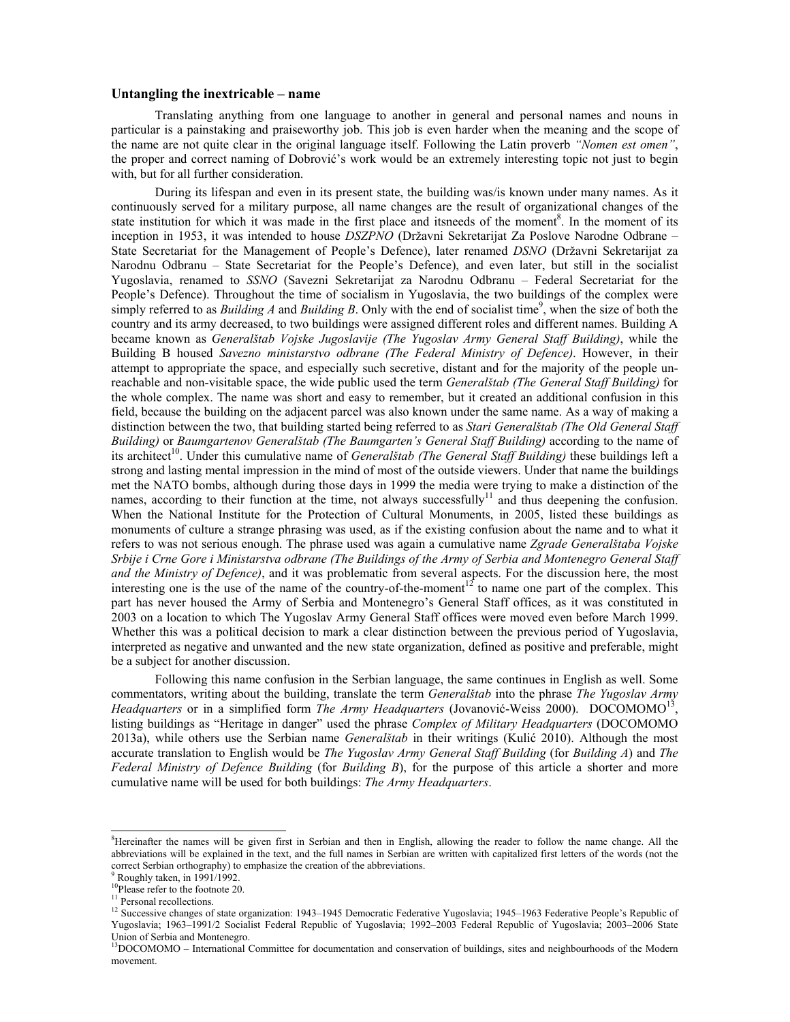#### **Untangling the inextricable – name**

 Translating anything from one language to another in general and personal names and nouns in particular is a painstaking and praiseworthy job. This job is even harder when the meaning and the scope of the name are not quite clear in the original language itself. Following the Latin proverb *"Nomen est omen"*, the proper and correct naming of Dobrović's work would be an extremely interesting topic not just to begin with, but for all further consideration.

 During its lifespan and even in its present state, the building was/is known under many names. As it continuously served for a military purpose, all name changes are the result of organizational changes of the state institution for which it was made in the first place and itsneeds of the moment<sup>8</sup>. In the moment of its inception in 1953, it was intended to house *DSZPNO* (Državni Sekretarijat Za Poslove Narodne Odbrane – State Secretariat for the Management of People's Defence), later renamed *DSNO* (Državni Sekretarijat za Narodnu Odbranu – State Secretariat for the People's Defence), and even later, but still in the socialist Yugoslavia, renamed to *SSNO* (Savezni Sekretarijat za Narodnu Odbranu – Federal Secretariat for the People's Defence). Throughout the time of socialism in Yugoslavia, the two buildings of the complex were simply referred to as *Building A* and *Building B*. Only with the end of socialist time<sup>9</sup>, when the size of both the country and its army decreased, to two buildings were assigned different roles and different names. Building A became known as *Generalštab Vojske Jugoslavije (The Yugoslav Army General Staff Building)*, while the Building B housed *Savezno ministarstvo odbrane (The Federal Ministry of Defence)*. However, in their attempt to appropriate the space, and especially such secretive, distant and for the majority of the people unreachable and non-visitable space, the wide public used the term *Generalštab (The General Staff Building)* for the whole complex. The name was short and easy to remember, but it created an additional confusion in this field, because the building on the adjacent parcel was also known under the same name. As a way of making a distinction between the two, that building started being referred to as *Stari Generalštab (The Old General Staff Building)* or *Baumgartenov Generalštab (The Baumgarten's General Staff Building)* according to the name of its architect<sup>10</sup>. Under this cumulative name of *Generalstab (The General Staff Building)* these buildings left a strong and lasting mental impression in the mind of most of the outside viewers. Under that name the buildings met the NATO bombs, although during those days in 1999 the media were trying to make a distinction of the names, according to their function at the time, not always successfully<sup>11</sup> and thus deepening the confusion. When the National Institute for the Protection of Cultural Monuments, in 2005, listed these buildings as monuments of culture a strange phrasing was used, as if the existing confusion about the name and to what it refers to was not serious enough. The phrase used was again a cumulative name *Zgrade Generalštaba Vojske Srbije i Crne Gore i Ministarstva odbrane (The Buildings of the Army of Serbia and Montenegro General Staff and the Ministry of Defence)*, and it was problematic from several aspects. For the discussion here, the most interesting one is the use of the name of the country-of-the-moment $1<sup>2</sup>$  to name one part of the complex. This part has never housed the Army of Serbia and Montenegro's General Staff offices, as it was constituted in 2003 on a location to which The Yugoslav Army General Staff offices were moved even before March 1999. Whether this was a political decision to mark a clear distinction between the previous period of Yugoslavia, interpreted as negative and unwanted and the new state organization, defined as positive and preferable, might be a subject for another discussion.

Following this name confusion in the Serbian language, the same continues in English as well. Some commentators, writing about the building, translate the term *Generalštab* into the phrase *The Yugoslav Army Headquarters* or in a simplified form *The Army Headquarters* (Jovanović-Weiss 2000). DOCOMOMO<sup>13</sup> listing buildings as "Heritage in danger" used the phrase *Complex of Military Headquarters* (DOCOMOMO 2013a), while others use the Serbian name *Generalštab* in their writings (Kulić 2010). Although the most accurate translation to English would be *The Yugoslav Army General Staff Building* (for *Building A*) and *The Federal Ministry of Defence Building* (for *Building B*), for the purpose of this article a shorter and more cumulative name will be used for both buildings: *The Army Headquarters*.

l

<sup>&</sup>lt;sup>8</sup>Hereinafter the names will be given first in Serbian and then in English, allowing the reader to follow the name change. All the abbreviations will be explained in the text, and the full names in Serbian are written with capitalized first letters of the words (not the correct Serbian orthography) to emphasize the creation of the abbreviations.

<sup>9</sup> Roughly taken, in 1991/1992.

<sup>&</sup>lt;sup>10</sup>Please refer to the footnote 20.

<sup>&</sup>lt;sup>11</sup> Personal recollections.

<sup>&</sup>lt;sup>12</sup> Successive changes of state organization: 1943–1945 Democratic Federative Yugoslavia; 1945–1963 Federative People's Republic of Yugoslavia; 1963–1991/2 Socialist Federal Republic of Yugoslavia; 1992–2003 Federal Republic of Yugoslavia; 2003–2006 State Union of Serbia and Montenegro.

<sup>&</sup>lt;sup>13</sup>DOCOMOMO – International Committee for documentation and conservation of buildings, sites and neighbourhoods of the Modern movement.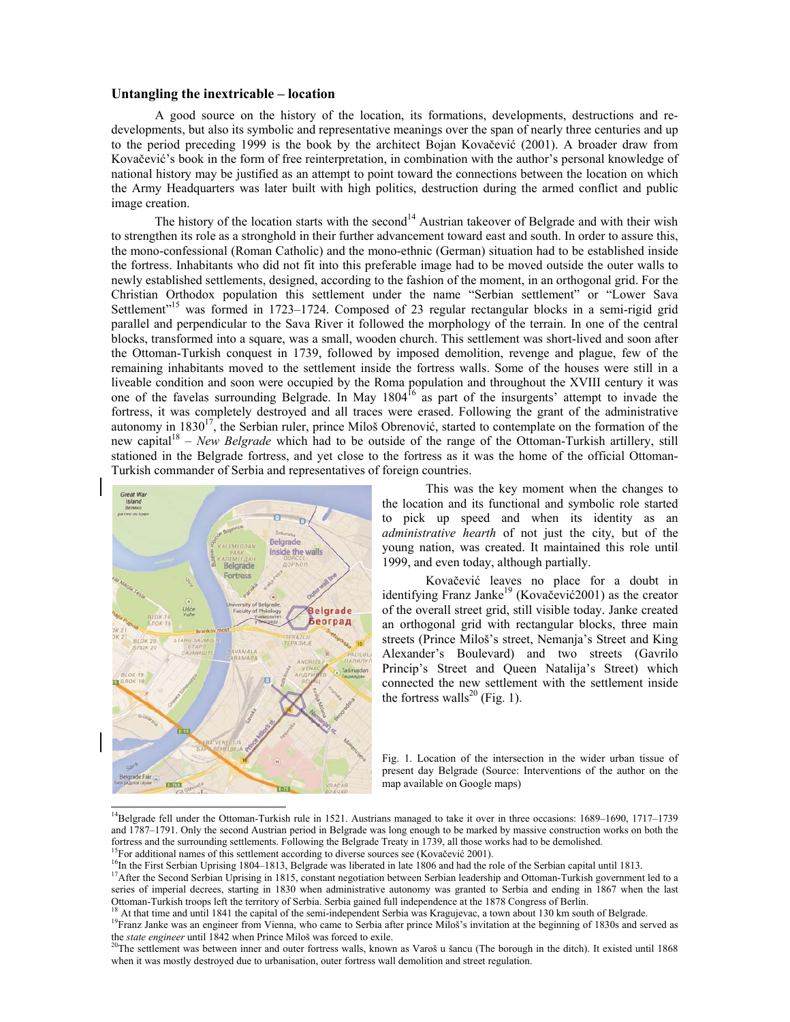#### **Untangling the inextricable – location**

A good source on the history of the location, its formations, developments, destructions and redevelopments, but also its symbolic and representative meanings over the span of nearly three centuries and up to the period preceding 1999 is the book by the architect Bojan Kovačević (2001). A broader draw from Kovačević's book in the form of free reinterpretation, in combination with the author's personal knowledge of national history may be justified as an attempt to point toward the connections between the location on which the Army Headquarters was later built with high politics, destruction during the armed conflict and public image creation.

The history of the location starts with the second<sup>14</sup> Austrian takeover of Belgrade and with their wish to strengthen its role as a stronghold in their further advancement toward east and south. In order to assure this, the mono-confessional (Roman Catholic) and the mono-ethnic (German) situation had to be established inside the fortress. Inhabitants who did not fit into this preferable image had to be moved outside the outer walls to newly established settlements, designed, according to the fashion of the moment, in an orthogonal grid. For the Christian Orthodox population this settlement under the name "Serbian settlement" or "Lower Sava Settlement<sup> $15$ </sup> was formed in 1723–1724. Composed of 23 regular rectangular blocks in a semi-rigid grid parallel and perpendicular to the Sava River it followed the morphology of the terrain. In one of the central blocks, transformed into a square, was a small, wooden church. This settlement was short-lived and soon after the Ottoman-Turkish conquest in 1739, followed by imposed demolition, revenge and plague, few of the remaining inhabitants moved to the settlement inside the fortress walls. Some of the houses were still in a liveable condition and soon were occupied by the Roma population and throughout the XVIII century it was one of the favelas surrounding Belgrade. In May  $1804^{16}$  as part of the insurgents' attempt to invade the fortress, it was completely destroyed and all traces were erased. Following the grant of the administrative autonomy in 183017, the Serbian ruler, prince Miloš Obrenović, started to contemplate on the formation of the new capital18 – *New Belgrade* which had to be outside of the range of the Ottoman-Turkish artillery, still stationed in the Belgrade fortress, and yet close to the fortress as it was the home of the official Ottoman-Turkish commander of Serbia and representatives of foreign countries.



This was the key moment when the changes to the location and its functional and symbolic role started to pick up speed and when its identity as an *administrative hearth* of not just the city, but of the young nation, was created. It maintained this role until 1999, and even today, although partially.

Kovačević leaves no place for a doubt in identifying Franz Janke<sup>19</sup> (Kovačević2001) as the creator of the overall street grid, still visible today. Janke created an orthogonal grid with rectangular blocks, three main streets (Prince Miloš's street, Nemanja's Street and King Alexander's Boulevard) and two streets (Gavrilo Princip's Street and Queen Natalija's Street) which connected the new settlement with the settlement inside the fortress walls<sup>20</sup> (Fig. 1).

Fig. 1. Location of the intersection in the wider urban tissue of present day Belgrade (Source: Interventions of the author on the map available on Google maps)

<sup>&</sup>lt;sup>14</sup>Belgrade fell under the Ottoman-Turkish rule in 1521. Austrians managed to take it over in three occasions: 1689–1690, 1717–1739 and 1787–1791. Only the second Austrian period in Belgrade was long enough to be marked by massive construction works on both the fortress and the surrounding settlements. Following the Belgrade Treaty in 1739, all those works had to be demolished.<br><sup>15</sup>For additional names of this settlement according to diverse sources see (Kovačević 2001).<br><sup>16</sup>In

series of imperial decrees, starting in 1830 when administrative autonomy was granted to Serbia and ending in 1867 when the last<br>Oftoman-Turkish troops left the territory of Serbia. Serbia gained full independence at the 1

<sup>&</sup>lt;sup>18</sup> At that time and until 1841 the capital of the semi-independent Serbia was Kragujevac, a town about 130 km south of Belgrade.<br><sup>19</sup> Franz Janke was an engineer from Vienna, who came to Serbia after prince Miloš's invi the *state engineer* until 1842 when Prince Miloš was forced to exile. <sup>20</sup>The settlement was between inner and outer fortress walls, known as Varoš u šancu (The borough in the ditch). It existed until 1868

when it was mostly destroyed due to urbanisation, outer fortress wall demolition and street regulation.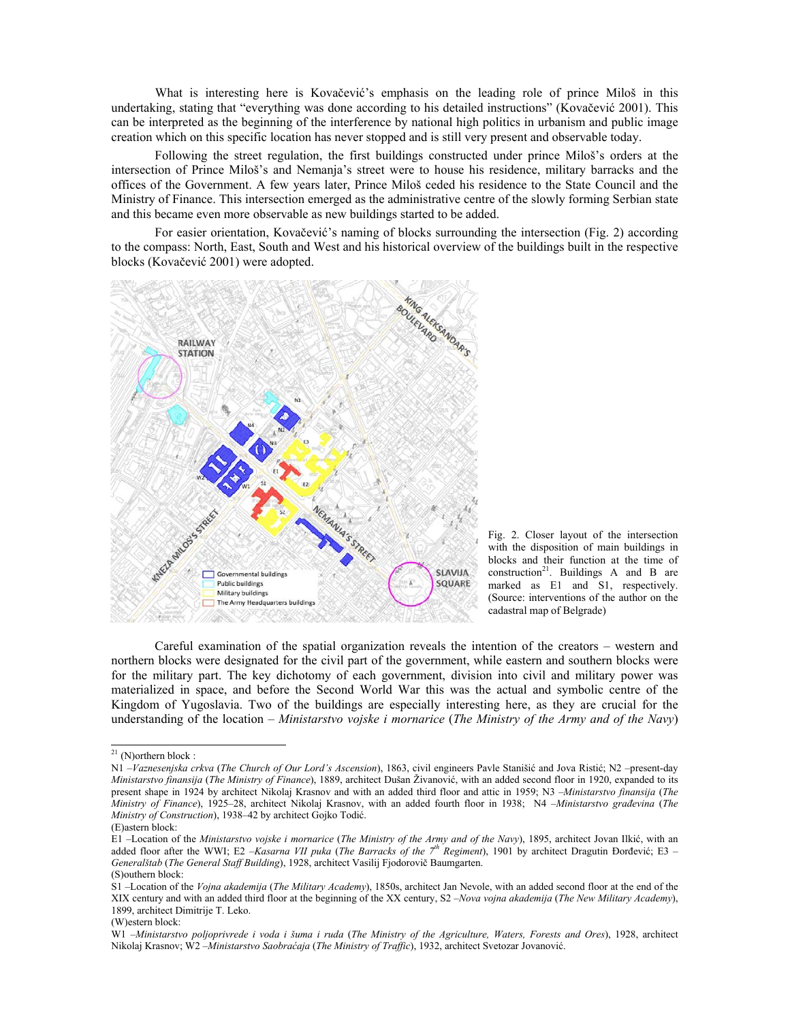What is interesting here is Kovačević's emphasis on the leading role of prince Miloš in this undertaking, stating that "everything was done according to his detailed instructions" (Kovačević 2001). This can be interpreted as the beginning of the interference by national high politics in urbanism and public image creation which on this specific location has never stopped and is still very present and observable today.

Following the street regulation, the first buildings constructed under prince Miloš's orders at the intersection of Prince Miloš's and Nemanja's street were to house his residence, military barracks and the offices of the Government. A few years later, Prince Miloš ceded his residence to the State Council and the Ministry of Finance. This intersection emerged as the administrative centre of the slowly forming Serbian state and this became even more observable as new buildings started to be added.

For easier orientation, Kovačević's naming of blocks surrounding the intersection (Fig. 2) according to the compass: North, East, South and West and his historical overview of the buildings built in the respective blocks (Kovačević 2001) were adopted.



Fig. 2. Closer layout of the intersection with the disposition of main buildings in blocks and their function at the time of construction<sup>21</sup>. Buildings A and B are marked as E1 and S1, respectively. (Source: interventions of the author on the cadastral map of Belgrade)

Careful examination of the spatial organization reveals the intention of the creators – western and northern blocks were designated for the civil part of the government, while eastern and southern blocks were for the military part. The key dichotomy of each government, division into civil and military power was materialized in space, and before the Second World War this was the actual and symbolic centre of the Kingdom of Yugoslavia. Two of the buildings are especially interesting here, as they are crucial for the understanding of the location – *Ministarstvo vojske i mornarice* (*The Ministry of the Army and of the Navy*)

(W)estern block:

 $^{21}$  (N)orthern block :

N1 –*Vaznesenjska crkva* (*The Church of Our Lord's Ascension*), 1863, civil engineers Pavle Stanišić and Jova Ristić; N2 –present-day *Ministarstvo finansija* (*The Ministry of Finance*), 1889, architect Dušan Živanović, with an added second floor in 1920, expanded to its present shape in 1924 by architect Nikolaj Krasnov and with an added third floor and attic in 1959; N3 –*Ministarstvo finansija* (*The Ministry of Finance*), 1925–28, architect Nikolaj Krasnov, with an added fourth floor in 1938; N4 –*Ministarstvo građevina* (*The Ministry of Construction*), 1938–42 by architect Gojko Todić.

<sup>(</sup>E)astern block:

E1 –Location of the *Ministarstvo vojske i mornarice (The Ministry of the Army and of the Navy*), 1895, architect Jovan Ilkić, with an<br>added floor after the WWI; E2 –*Kasarna VII puka (The Barracks of the 7<sup>th</sup> Regiment*), *Generalštab* (*The General Staff Building*), 1928, architect Vasilij Fjodorovič Baumgarten. (S)outhern block:

S1 –Location of the *Vojna akademija* (*The Military Academy*), 1850s, architect Jan Nevole, with an added second floor at the end of the XIX century and with an added third floor at the beginning of the XX century, S2 –*Nova vojna akademija* (*The New Military Academy*), 1899, architect Dimitrije T. Leko.

W1 –*Ministarstvo poljoprivrede i voda i šuma i ruda* (*The Ministry of the Agriculture, Waters, Forests and Ores*), 1928, architect Nikolaj Krasnov; W2 –*Ministarstvo Saobraćaja* (*The Ministry of Traffic*), 1932, architect Svetozar Jovanović.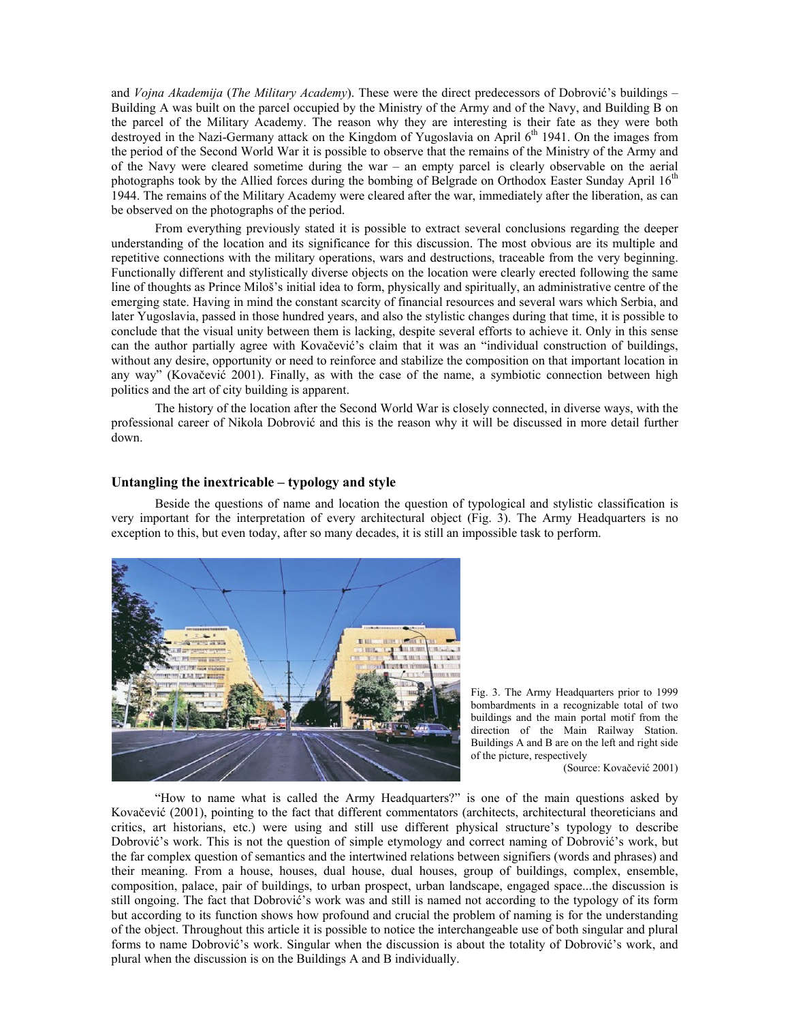and *Vojna Akademija* (*The Military Academy*). These were the direct predecessors of Dobrović's buildings – Building A was built on the parcel occupied by the Ministry of the Army and of the Navy, and Building B on the parcel of the Military Academy. The reason why they are interesting is their fate as they were both destroyed in the Nazi-Germany attack on the Kingdom of Yugoslavia on April 6th 1941. On the images from the period of the Second World War it is possible to observe that the remains of the Ministry of the Army and of the Navy were cleared sometime during the war – an empty parcel is clearly observable on the aerial photographs took by the Allied forces during the bombing of Belgrade on Orthodox Easter Sunday April 16<sup>th</sup> 1944. The remains of the Military Academy were cleared after the war, immediately after the liberation, as can be observed on the photographs of the period.

From everything previously stated it is possible to extract several conclusions regarding the deeper understanding of the location and its significance for this discussion. The most obvious are its multiple and repetitive connections with the military operations, wars and destructions, traceable from the very beginning. Functionally different and stylistically diverse objects on the location were clearly erected following the same line of thoughts as Prince Miloš's initial idea to form, physically and spiritually, an administrative centre of the emerging state. Having in mind the constant scarcity of financial resources and several wars which Serbia, and later Yugoslavia, passed in those hundred years, and also the stylistic changes during that time, it is possible to conclude that the visual unity between them is lacking, despite several efforts to achieve it. Only in this sense can the author partially agree with Kovačević's claim that it was an "individual construction of buildings, without any desire, opportunity or need to reinforce and stabilize the composition on that important location in any way" (Kovačević 2001). Finally, as with the case of the name, a symbiotic connection between high politics and the art of city building is apparent.

The history of the location after the Second World War is closely connected, in diverse ways, with the professional career of Nikola Dobrović and this is the reason why it will be discussed in more detail further down.

## **Untangling the inextricable – typology and style**

 Beside the questions of name and location the question of typological and stylistic classification is very important for the interpretation of every architectural object (Fig. 3). The Army Headquarters is no exception to this, but even today, after so many decades, it is still an impossible task to perform.



Fig. 3. The Army Headquarters prior to 1999 bombardments in a recognizable total of two buildings and the main portal motif from the direction of the Main Railway Station. Buildings A and B are on the left and right side of the picture, respectively

(Source: Kovačević 2001)

"How to name what is called the Army Headquarters?" is one of the main questions asked by Kovačević (2001), pointing to the fact that different commentators (architects, architectural theoreticians and critics, art historians, etc.) were using and still use different physical structure's typology to describe Dobrović's work. This is not the question of simple etymology and correct naming of Dobrović's work, but the far complex question of semantics and the intertwined relations between signifiers (words and phrases) and their meaning. From a house, houses, dual house, dual houses, group of buildings, complex, ensemble, composition, palace, pair of buildings, to urban prospect, urban landscape, engaged space...the discussion is still ongoing. The fact that Dobrović's work was and still is named not according to the typology of its form but according to its function shows how profound and crucial the problem of naming is for the understanding of the object. Throughout this article it is possible to notice the interchangeable use of both singular and plural forms to name Dobrović's work. Singular when the discussion is about the totality of Dobrović's work, and plural when the discussion is on the Buildings A and B individually.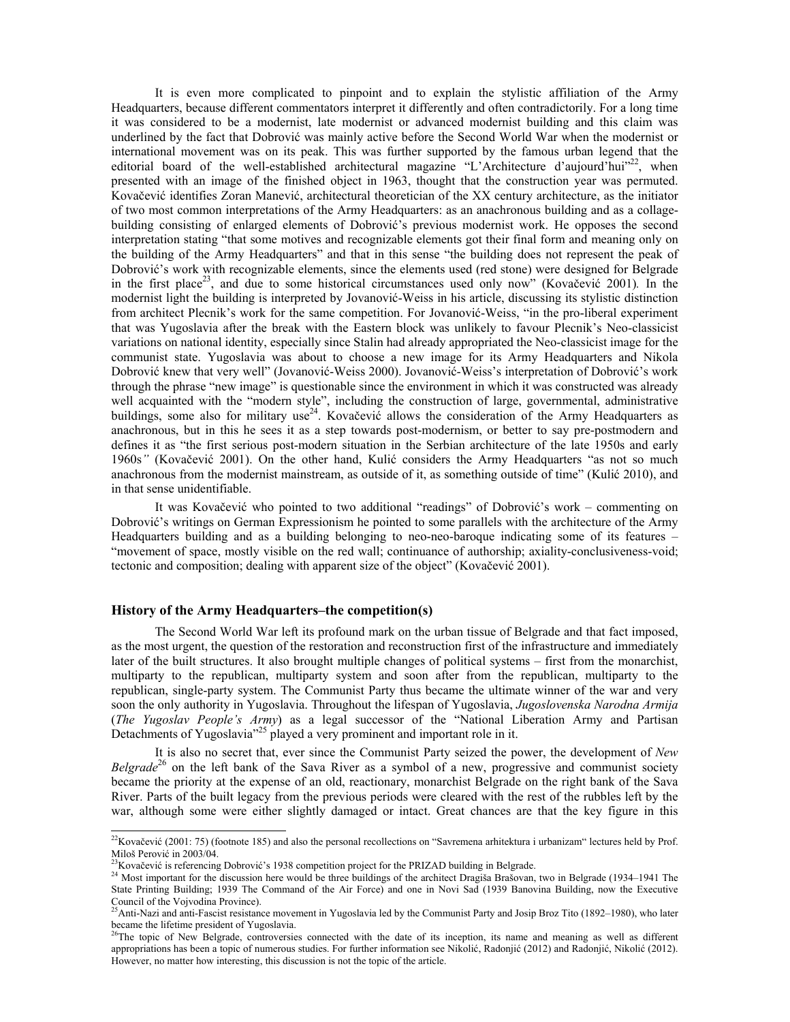It is even more complicated to pinpoint and to explain the stylistic affiliation of the Army Headquarters, because different commentators interpret it differently and often contradictorily. For a long time it was considered to be a modernist, late modernist or advanced modernist building and this claim was underlined by the fact that Dobrović was mainly active before the Second World War when the modernist or international movement was on its peak. This was further supported by the famous urban legend that the editorial board of the well-established architectural magazine "L'Architecture d'aujourd'hui"<sup>22</sup>, when presented with an image of the finished object in 1963, thought that the construction year was permuted. Kovačević identifies Zoran Manević, architectural theoretician of the XX century architecture, as the initiator of two most common interpretations of the Army Headquarters: as an anachronous building and as a collagebuilding consisting of enlarged elements of Dobrović's previous modernist work. He opposes the second interpretation stating "that some motives and recognizable elements got their final form and meaning only on the building of the Army Headquarters" and that in this sense "the building does not represent the peak of Dobrović's work with recognizable elements, since the elements used (red stone) were designed for Belgrade in the first place<sup>23</sup>, and due to some historical circumstances used only now" (Kovačević 2001). In the modernist light the building is interpreted by Jovanović-Weiss in his article, discussing its stylistic distinction from architect Plecnik's work for the same competition. For Jovanović-Weiss, "in the pro-liberal experiment that was Yugoslavia after the break with the Eastern block was unlikely to favour Plecnik's Neo-classicist variations on national identity, especially since Stalin had already appropriated the Neo-classicist image for the communist state. Yugoslavia was about to choose a new image for its Army Headquarters and Nikola Dobrović knew that very well" (Jovanović-Weiss 2000). Jovanović-Weiss's interpretation of Dobrović's work through the phrase "new image" is questionable since the environment in which it was constructed was already well acquainted with the "modern style", including the construction of large, governmental, administrative buildings, some also for military use<sup>24</sup>. Kovačević allows the consideration of the Army Headquarters as anachronous, but in this he sees it as a step towards post-modernism, or better to say pre-postmodern and defines it as "the first serious post-modern situation in the Serbian architecture of the late 1950s and early 1960s*"* (Kovačević 2001). On the other hand, Kulić considers the Army Headquarters "as not so much anachronous from the modernist mainstream, as outside of it, as something outside of time" (Kulić 2010), and in that sense unidentifiable.

It was Kovačević who pointed to two additional "readings" of Dobrović's work – commenting on Dobrović's writings on German Expressionism he pointed to some parallels with the architecture of the Army Headquarters building and as a building belonging to neo-neo-baroque indicating some of its features – "movement of space, mostly visible on the red wall; continuance of authorship; axiality-conclusiveness-void; tectonic and composition; dealing with apparent size of the object" (Kovačević 2001).

## **History of the Army Headquarters–the competition(s)**

The Second World War left its profound mark on the urban tissue of Belgrade and that fact imposed, as the most urgent, the question of the restoration and reconstruction first of the infrastructure and immediately later of the built structures. It also brought multiple changes of political systems – first from the monarchist, multiparty to the republican, multiparty system and soon after from the republican, multiparty to the republican, single-party system. The Communist Party thus became the ultimate winner of the war and very soon the only authority in Yugoslavia. Throughout the lifespan of Yugoslavia, *Jugoslovenska Narodna Armija* (*The Yugoslav People's Army*) as a legal successor of the "National Liberation Army and Partisan Detachments of Yugoslavia<sup>"25</sup> played a very prominent and important role in it.

It is also no secret that, ever since the Communist Party seized the power, the development of *New Belgrade*26 on the left bank of the Sava River as a symbol of a new, progressive and communist society became the priority at the expense of an old, reactionary, monarchist Belgrade on the right bank of the Sava River. Parts of the built legacy from the previous periods were cleared with the rest of the rubbles left by the war, although some were either slightly damaged or intact. Great chances are that the key figure in this

 $\frac{22}{2}$ Kovačević (2001: 75) (footnote 185) and also the personal recollections on "Savremena arhitektura i urbanizam" lectures held by Prof. Miloš Perović in 2003/04.<br><sup>23</sup> Kovačević is referencing Dobrović's 1938 competition project for the PRIZAD building in Belgrade.<br><sup>24</sup> Most important for the discussion here would be three buildings of the architect Dragiš

State Printing Building; 1939 The Command of the Air Force) and one in Novi Sad (1939 Banovina Building, now the Executive Council of the Vojvodina Province).

<sup>&</sup>lt;sup>5</sup>Anti-Nazi and anti-Fascist resistance movement in Yugoslavia led by the Communist Party and Josip Broz Tito (1892–1980), who later became the lifetime president of Yugoslavia.<br><sup>26</sup>The topic of New Belgrade, controversies connected with the date of its inception, its name and meaning as well as different

appropriations has been a topic of numerous studies. For further information see Nikolić, Radonjić (2012) and Radonjić, Nikolić (2012). However, no matter how interesting, this discussion is not the topic of the article.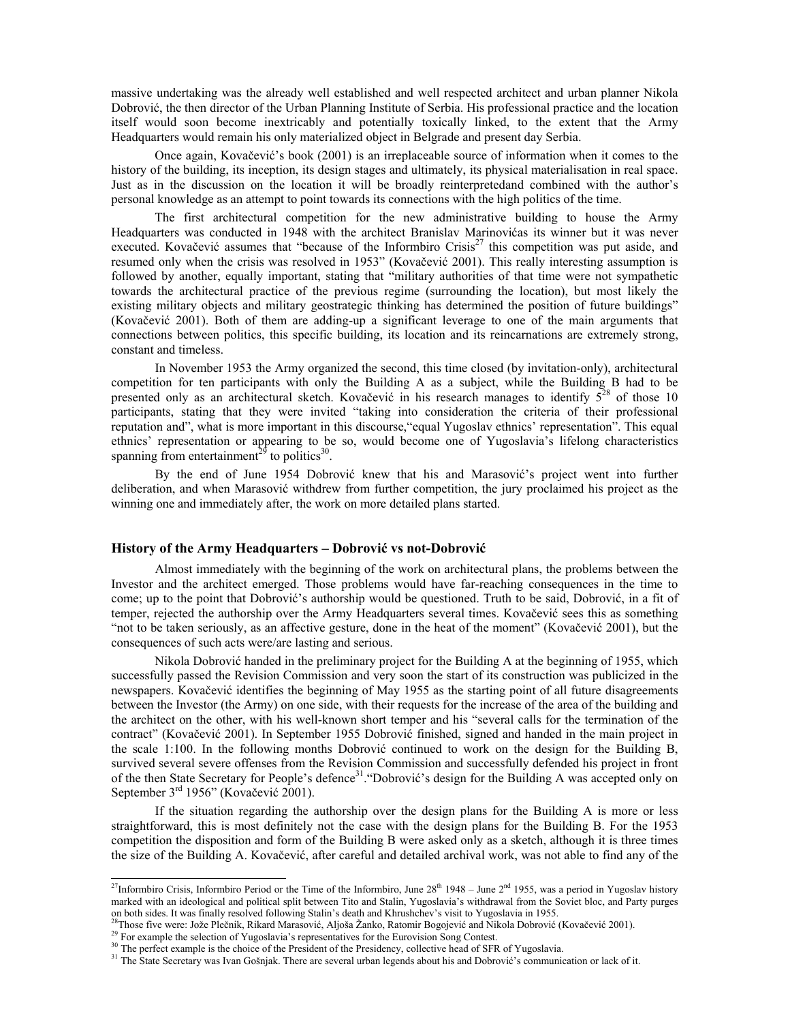massive undertaking was the already well established and well respected architect and urban planner Nikola Dobrović, the then director of the Urban Planning Institute of Serbia. His professional practice and the location itself would soon become inextricably and potentially toxically linked, to the extent that the Army Headquarters would remain his only materialized object in Belgrade and present day Serbia.

Once again, Kovačević's book (2001) is an irreplaceable source of information when it comes to the history of the building, its inception, its design stages and ultimately, its physical materialisation in real space. Just as in the discussion on the location it will be broadly reinterpretedand combined with the author's personal knowledge as an attempt to point towards its connections with the high politics of the time.

The first architectural competition for the new administrative building to house the Army Headquarters was conducted in 1948 with the architect Branislav Marinovićas its winner but it was never executed. Kovačević assumes that "because of the Informbiro Crisis<sup>27</sup> this competition was put aside, and resumed only when the crisis was resolved in 1953" (Kovačević 2001). This really interesting assumption is followed by another, equally important, stating that "military authorities of that time were not sympathetic towards the architectural practice of the previous regime (surrounding the location), but most likely the existing military objects and military geostrategic thinking has determined the position of future buildings" (Kovačević 2001). Both of them are adding-up a significant leverage to one of the main arguments that connections between politics, this specific building, its location and its reincarnations are extremely strong, constant and timeless.

In November 1953 the Army organized the second, this time closed (by invitation-only), architectural competition for ten participants with only the Building A as a subject, while the Building B had to be presented only as an architectural sketch. Kovačević in his research manages to identify  $5^{28}$  of those 10 participants, stating that they were invited "taking into consideration the criteria of their professional reputation and", what is more important in this discourse,"equal Yugoslav ethnics' representation". This equal ethnics' representation or appearing to be so, would become one of Yugoslavia's lifelong characteristics spanning from entertainment<sup>29</sup> to politics<sup>30</sup>.

By the end of June 1954 Dobrović knew that his and Marasović's project went into further deliberation, and when Marasović withdrew from further competition, the jury proclaimed his project as the winning one and immediately after, the work on more detailed plans started.

### **History of the Army Headquarters – Dobrović vs not-Dobrović**

Almost immediately with the beginning of the work on architectural plans, the problems between the Investor and the architect emerged. Those problems would have far-reaching consequences in the time to come; up to the point that Dobrović's authorship would be questioned. Truth to be said, Dobrović, in a fit of temper, rejected the authorship over the Army Headquarters several times. Kovačević sees this as something "not to be taken seriously, as an affective gesture, done in the heat of the moment" (Kovačević 2001), but the consequences of such acts were/are lasting and serious.

Nikola Dobrović handed in the preliminary project for the Building A at the beginning of 1955, which successfully passed the Revision Commission and very soon the start of its construction was publicized in the newspapers. Kovačević identifies the beginning of May 1955 as the starting point of all future disagreements between the Investor (the Army) on one side, with their requests for the increase of the area of the building and the architect on the other, with his well-known short temper and his "several calls for the termination of the contract" (Kovačević 2001). In September 1955 Dobrović finished, signed and handed in the main project in the scale 1:100. In the following months Dobrović continued to work on the design for the Building B, survived several severe offenses from the Revision Commission and successfully defended his project in front of the then State Secretary for People's defence<sup>31</sup>. "Dobrović's design for the Building A was accepted only on September 3<sup>rd</sup> 1956" (Kovačević 2001).

If the situation regarding the authorship over the design plans for the Building A is more or less straightforward, this is most definitely not the case with the design plans for the Building B. For the 1953 competition the disposition and form of the Building B were asked only as a sketch, although it is three times the size of the Building A. Kovačević, after careful and detailed archival work, was not able to find any of the

<sup>&</sup>lt;sup>27</sup>Informbiro Crisis, Informbiro Period or the Time of the Informbiro, June  $2^{8^{th}}$  1948 – June  $2^{nd}$  1955, was a period in Yugoslav history marked with an ideological and political split between Tito and Stalin, Yugoslavia's withdrawal from the Soviet bloc, and Party purges on both sides. It was finally resolved following Stalin's death and Khrushchev's visit to Yugoslavia in 1955.<br><sup>28</sup>Those five were: Jože Plečnik, Rikard Marasović, Aljoša Žanko, Ratomir Bogojević and Nikola Dobrović (Kovače

<sup>&</sup>lt;sup>31</sup> The State Secretary was Ivan Gošnjak. There are several urban legends about his and Dobrović's communication or lack of it.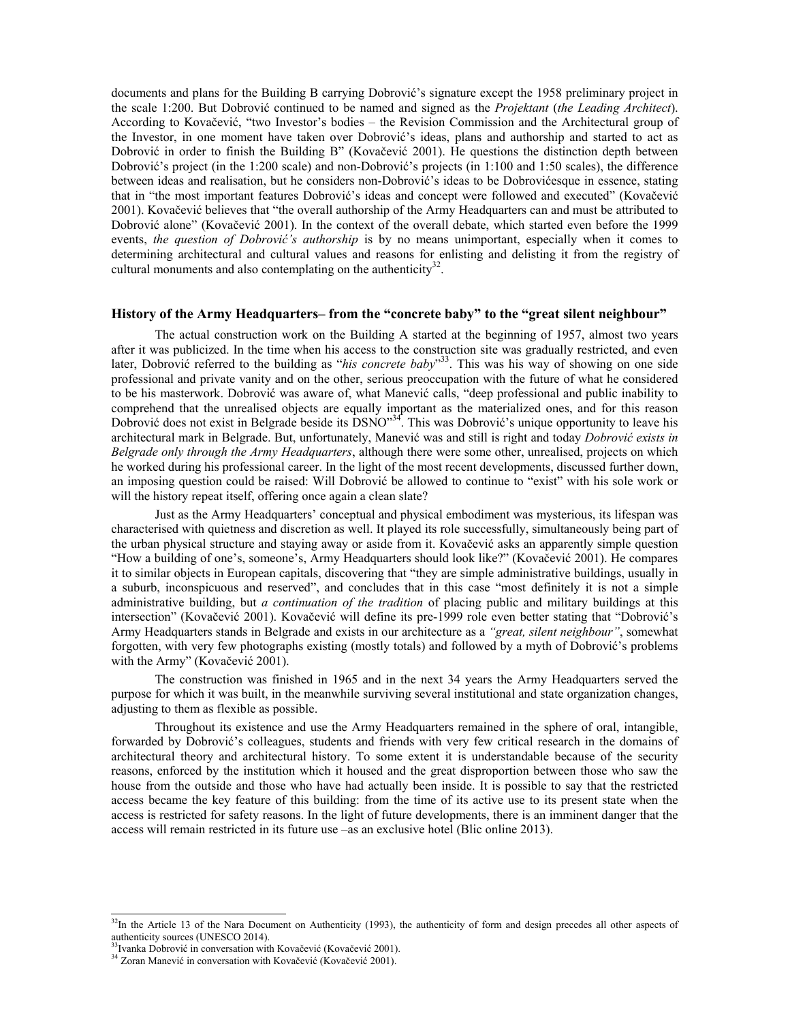documents and plans for the Building B carrying Dobrović's signature except the 1958 preliminary project in the scale 1:200. But Dobrović continued to be named and signed as the *Projektant* (*the Leading Architect*). According to Kovačević, "two Investor's bodies – the Revision Commission and the Architectural group of the Investor, in one moment have taken over Dobrović's ideas, plans and authorship and started to act as Dobrović in order to finish the Building B" (Kovačević 2001). He questions the distinction depth between Dobrović's project (in the 1:200 scale) and non-Dobrović's projects (in 1:100 and 1:50 scales), the difference between ideas and realisation, but he considers non-Dobrović's ideas to be Dobrovićesque in essence, stating that in "the most important features Dobrović's ideas and concept were followed and executed" (Kovačević 2001). Kovačević believes that "the overall authorship of the Army Headquarters can and must be attributed to Dobrović alone" (Kovačević 2001). In the context of the overall debate, which started even before the 1999 events, *the question of Dobrović's authorship* is by no means unimportant, especially when it comes to determining architectural and cultural values and reasons for enlisting and delisting it from the registry of cultural monuments and also contemplating on the authenticity<sup>32</sup>.

## **History of the Army Headquarters– from the "concrete baby" to the "great silent neighbour"**

 The actual construction work on the Building A started at the beginning of 1957, almost two years after it was publicized. In the time when his access to the construction site was gradually restricted, and even later, Dobrović referred to the building as "*his concrete baby*" 33. This was his way of showing on one side professional and private vanity and on the other, serious preoccupation with the future of what he considered to be his masterwork. Dobrović was aware of, what Manević calls, "deep professional and public inability to comprehend that the unrealised objects are equally important as the materialized ones, and for this reason Dobrović does not exist in Belgrade beside its DSNO"<sup>34</sup>. This was Dobrović's unique opportunity to leave his architectural mark in Belgrade. But, unfortunately, Manević was and still is right and today *Dobrović exists in Belgrade only through the Army Headquarters*, although there were some other, unrealised, projects on which he worked during his professional career. In the light of the most recent developments, discussed further down, an imposing question could be raised: Will Dobrović be allowed to continue to "exist" with his sole work or will the history repeat itself, offering once again a clean slate?

Just as the Army Headquarters' conceptual and physical embodiment was mysterious, its lifespan was characterised with quietness and discretion as well. It played its role successfully, simultaneously being part of the urban physical structure and staying away or aside from it. Kovačević asks an apparently simple question "How a building of one's, someone's, Army Headquarters should look like?" (Kovačević 2001). He compares it to similar objects in European capitals, discovering that "they are simple administrative buildings, usually in a suburb, inconspicuous and reserved", and concludes that in this case "most definitely it is not a simple administrative building, but *a continuation of the tradition* of placing public and military buildings at this intersection" (Kovačević 2001). Kovačević will define its pre-1999 role even better stating that "Dobrović's Army Headquarters stands in Belgrade and exists in our architecture as a *"great, silent neighbour"*, somewhat forgotten, with very few photographs existing (mostly totals) and followed by a myth of Dobrović's problems with the Army" (Kovačević 2001).

The construction was finished in 1965 and in the next 34 years the Army Headquarters served the purpose for which it was built, in the meanwhile surviving several institutional and state organization changes, adjusting to them as flexible as possible.

Throughout its existence and use the Army Headquarters remained in the sphere of oral, intangible, forwarded by Dobrović's colleagues, students and friends with very few critical research in the domains of architectural theory and architectural history. To some extent it is understandable because of the security reasons, enforced by the institution which it housed and the great disproportion between those who saw the house from the outside and those who have had actually been inside. It is possible to say that the restricted access became the key feature of this building: from the time of its active use to its present state when the access is restricted for safety reasons. In the light of future developments, there is an imminent danger that the access will remain restricted in its future use –as an exclusive hotel (Blic online 2013).

<sup>&</sup>lt;sup>32</sup>In the Article 13 of the Nara Document on Authenticity (1993), the authenticity of form and design precedes all other aspects of authenticity sources (UNESCO 2014).<br>
<sup>33</sup>Ivanka Dobrović in conversation with Kovačević (Kovačević 2001).

<sup>33</sup>Ivanka Dobrović in conversation with Kovačević (Kovačević 2001). 34 Zoran Manević in conversation with Kovačević (Kovačević 2001).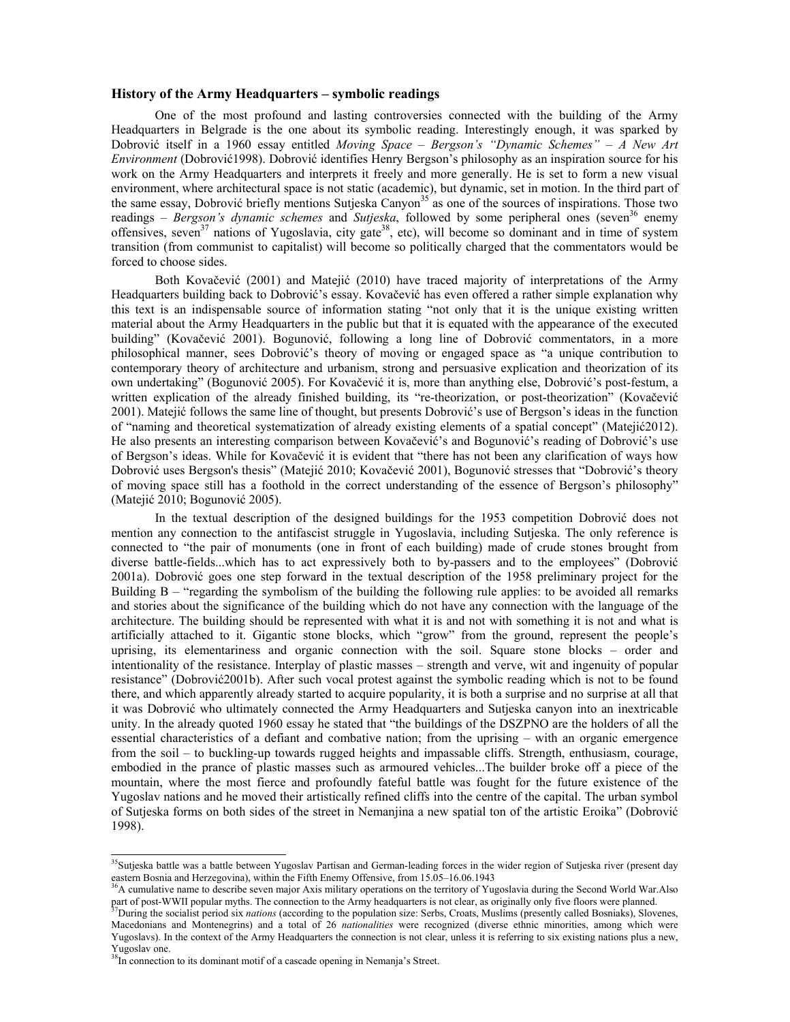### **History of the Army Headquarters – symbolic readings**

 One of the most profound and lasting controversies connected with the building of the Army Headquarters in Belgrade is the one about its symbolic reading. Interestingly enough, it was sparked by Dobrović itself in a 1960 essay entitled *Moving Space – Bergson's "Dynamic Schemes" – A New Art Environment* (Dobrović1998). Dobrović identifies Henry Bergson's philosophy as an inspiration source for his work on the Army Headquarters and interprets it freely and more generally. He is set to form a new visual environment, where architectural space is not static (academic), but dynamic, set in motion. In the third part of the same essay, Dobrović briefly mentions Sutjeska Canyon<sup>35</sup> as one of the sources of inspirations. Those two readings – *Bergson's dynamic schemes* and *Sutjeska*, followed by some peripheral ones (seven<sup>36</sup> enemy offensives, seven37 nations of Yugoslavia, city gate38, etc), will become so dominant and in time of system transition (from communist to capitalist) will become so politically charged that the commentators would be forced to choose sides.

Both Kovačević (2001) and Matejić (2010) have traced majority of interpretations of the Army Headquarters building back to Dobrović's essay. Kovačević has even offered a rather simple explanation why this text is an indispensable source of information stating "not only that it is the unique existing written material about the Army Headquarters in the public but that it is equated with the appearance of the executed building" (Kovačević 2001). Bogunović, following a long line of Dobrović commentators, in a more philosophical manner, sees Dobrović's theory of moving or engaged space as "a unique contribution to contemporary theory of architecture and urbanism, strong and persuasive explication and theorization of its own undertaking" (Bogunović 2005). For Kovačević it is, more than anything else, Dobrović's post-festum, a written explication of the already finished building, its "re-theorization, or post-theorization" (Kovačević 2001). Matejić follows the same line of thought, but presents Dobrović's use of Bergson's ideas in the function of "naming and theoretical systematization of already existing elements of a spatial concept" (Matejić2012). He also presents an interesting comparison between Kovačević's and Bogunović's reading of Dobrović's use of Bergson's ideas. While for Kovačević it is evident that "there has not been any clarification of ways how Dobrović uses Bergson's thesis" (Matejić 2010; Kovačević 2001), Bogunović stresses that "Dobrović's theory of moving space still has a foothold in the correct understanding of the essence of Bergson's philosophy" (Matejić 2010; Bogunović 2005).

In the textual description of the designed buildings for the 1953 competition Dobrović does not mention any connection to the antifascist struggle in Yugoslavia, including Sutjeska. The only reference is connected to "the pair of monuments (one in front of each building) made of crude stones brought from diverse battle-fields...which has to act expressively both to by-passers and to the employees" (Dobrović 2001a). Dobrović goes one step forward in the textual description of the 1958 preliminary project for the Building B – "regarding the symbolism of the building the following rule applies: to be avoided all remarks and stories about the significance of the building which do not have any connection with the language of the architecture. The building should be represented with what it is and not with something it is not and what is artificially attached to it. Gigantic stone blocks, which "grow" from the ground, represent the people's uprising, its elementariness and organic connection with the soil. Square stone blocks – order and intentionality of the resistance. Interplay of plastic masses – strength and verve, wit and ingenuity of popular resistance" (Dobrović2001b). After such vocal protest against the symbolic reading which is not to be found there, and which apparently already started to acquire popularity, it is both a surprise and no surprise at all that it was Dobrović who ultimately connected the Army Headquarters and Sutjeska canyon into an inextricable unity. In the already quoted 1960 essay he stated that "the buildings of the DSZPNO are the holders of all the essential characteristics of a defiant and combative nation; from the uprising – with an organic emergence from the soil – to buckling-up towards rugged heights and impassable cliffs. Strength, enthusiasm, courage, embodied in the prance of plastic masses such as armoured vehicles...The builder broke off a piece of the mountain, where the most fierce and profoundly fateful battle was fought for the future existence of the Yugoslav nations and he moved their artistically refined cliffs into the centre of the capital. The urban symbol of Sutjeska forms on both sides of the street in Nemanjina a new spatial ton of the artistic Eroika" (Dobrović 1998).

<sup>&</sup>lt;sup>35</sup>Sutjeska battle was a battle between Yugoslav Partisan and German-leading forces in the wider region of Sutjeska river (present day eastern Bosnia and Herzegovina), within the Fifth Enemy Offensive, from 15.05–16.06.1943

<sup>&</sup>lt;sup>36</sup>A cumulative name to describe seven major Axis military operations on the territory of Yugoslavia during the Second World War.Also part of post-WWII popular myths. The connection to the Army headquarters is not clear, as originally only five floors were planned.<br><sup>37</sup>During the socialist period six *nations* (according to the population size: Serbs, Cr

Macedonians and Montenegrins) and a total of 26 *nationalities* were recognized (diverse ethnic minorities, among which were Yugoslavs). In the context of the Army Headquarters the connection is not clear, unless it is referring to six existing nations plus a new, Yugoslav one.<br><sup>38</sup>In connection to its dominant motif of a cascade opening in Nemanja's Street.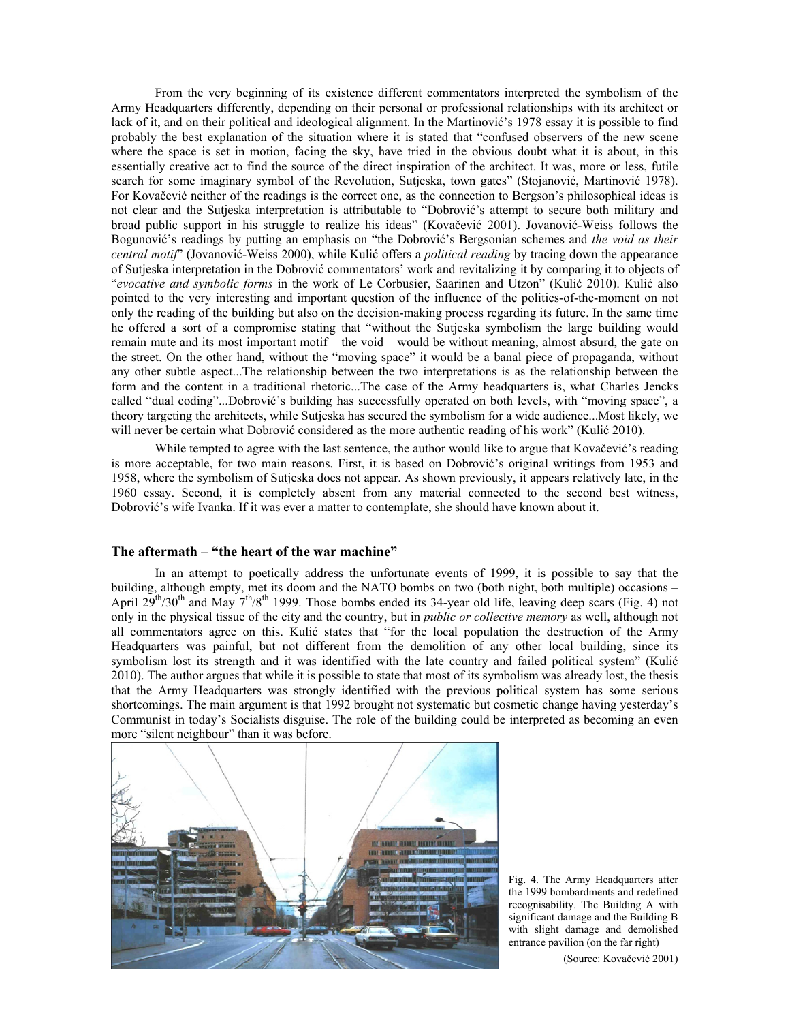From the very beginning of its existence different commentators interpreted the symbolism of the Army Headquarters differently, depending on their personal or professional relationships with its architect or lack of it, and on their political and ideological alignment. In the Martinović's 1978 essay it is possible to find probably the best explanation of the situation where it is stated that "confused observers of the new scene where the space is set in motion, facing the sky, have tried in the obvious doubt what it is about, in this essentially creative act to find the source of the direct inspiration of the architect. It was, more or less, futile search for some imaginary symbol of the Revolution, Sutjeska, town gates" (Stojanović, Martinović 1978). For Kovačević neither of the readings is the correct one, as the connection to Bergson's philosophical ideas is not clear and the Sutjeska interpretation is attributable to "Dobrović's attempt to secure both military and broad public support in his struggle to realize his ideas" (Kovačević 2001). Jovanović-Weiss follows the Bogunović's readings by putting an emphasis on "the Dobrović's Bergsonian schemes and *the void as their central motif*" (Jovanović-Weiss 2000), while Kulić offers a *political reading* by tracing down the appearance of Sutjeska interpretation in the Dobrović commentators' work and revitalizing it by comparing it to objects of "*evocative and symbolic forms* in the work of Le Corbusier, Saarinen and Utzon" (Kulić 2010). Kulić also pointed to the very interesting and important question of the influence of the politics-of-the-moment on not only the reading of the building but also on the decision-making process regarding its future. In the same time he offered a sort of a compromise stating that "without the Sutjeska symbolism the large building would remain mute and its most important motif – the void – would be without meaning, almost absurd, the gate on the street. On the other hand, without the "moving space" it would be a banal piece of propaganda, without any other subtle aspect...The relationship between the two interpretations is as the relationship between the form and the content in a traditional rhetoric...The case of the Army headquarters is, what Charles Jencks called "dual coding"...Dobrović's building has successfully operated on both levels, with "moving space", a theory targeting the architects, while Sutjeska has secured the symbolism for a wide audience...Most likely, we will never be certain what Dobrović considered as the more authentic reading of his work" (Kulić 2010).

While tempted to agree with the last sentence, the author would like to argue that Kovačević's reading is more acceptable, for two main reasons. First, it is based on Dobrović's original writings from 1953 and 1958, where the symbolism of Sutjeska does not appear. As shown previously, it appears relatively late, in the 1960 essay. Second, it is completely absent from any material connected to the second best witness, Dobrović's wife Ivanka. If it was ever a matter to contemplate, she should have known about it.

#### **The aftermath – "the heart of the war machine"**

 In an attempt to poetically address the unfortunate events of 1999, it is possible to say that the building, although empty, met its doom and the NATO bombs on two (both night, both multiple) occasions – April  $29^{th}/30^{th}$  and May  $7^{th}/8^{th}$  1999. Those bombs ended its 34-year old life, leaving deep scars (Fig. 4) not only in the physical tissue of the city and the country, but in *public or collective memory* as well, although not all commentators agree on this. Kulić states that "for the local population the destruction of the Army Headquarters was painful, but not different from the demolition of any other local building, since its symbolism lost its strength and it was identified with the late country and failed political system" (Kulić 2010). The author argues that while it is possible to state that most of its symbolism was already lost, the thesis that the Army Headquarters was strongly identified with the previous political system has some serious shortcomings. The main argument is that 1992 brought not systematic but cosmetic change having yesterday's Communist in today's Socialists disguise. The role of the building could be interpreted as becoming an even more "silent neighbour" than it was before.





(Source: Kovačević 2001)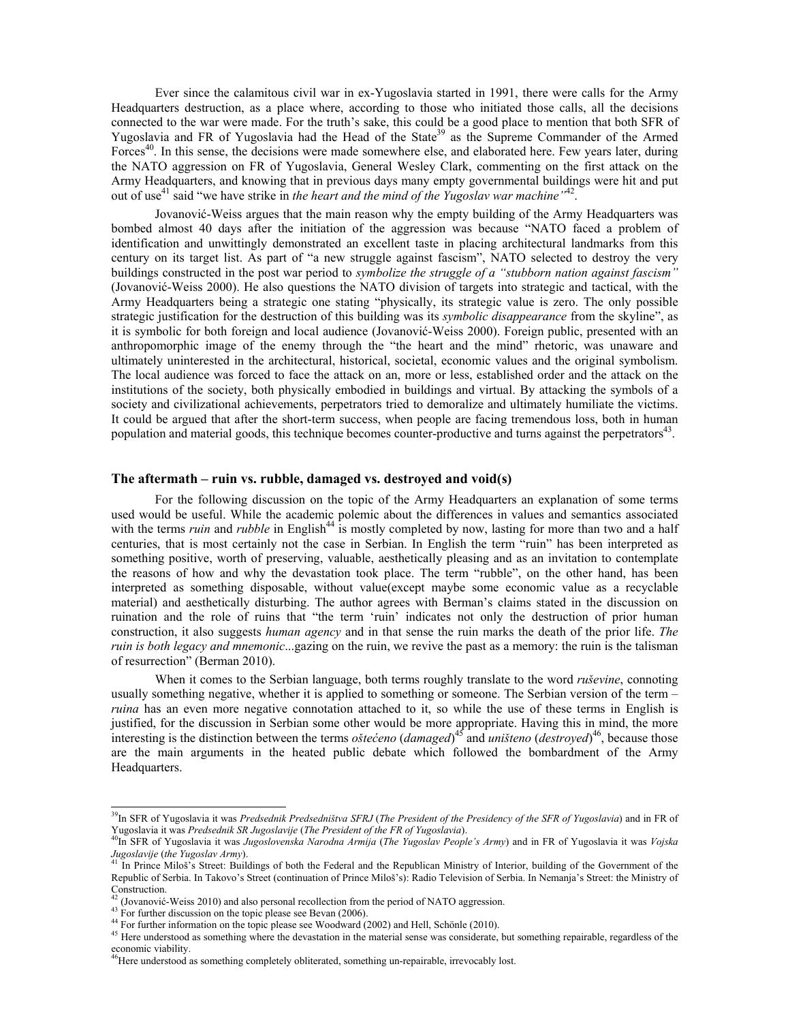Ever since the calamitous civil war in ex-Yugoslavia started in 1991, there were calls for the Army Headquarters destruction, as a place where, according to those who initiated those calls, all the decisions connected to the war were made. For the truth's sake, this could be a good place to mention that both SFR of Yugoslavia and FR of Yugoslavia had the Head of the State<sup>39</sup> as the Supreme Commander of the Armed Forces<sup>40</sup>. In this sense, the decisions were made somewhere else, and elaborated here. Few years later, during the NATO aggression on FR of Yugoslavia, General Wesley Clark, commenting on the first attack on the Army Headquarters, and knowing that in previous days many empty governmental buildings were hit and put out of use41 said "we have strike in *the heart and the mind of the Yugoslav war machine"*42.

 Jovanović-Weiss argues that the main reason why the empty building of the Army Headquarters was bombed almost 40 days after the initiation of the aggression was because "NATO faced a problem of identification and unwittingly demonstrated an excellent taste in placing architectural landmarks from this century on its target list. As part of "a new struggle against fascism", NATO selected to destroy the very buildings constructed in the post war period to *symbolize the struggle of a "stubborn nation against fascism"* (Jovanović-Weiss 2000). He also questions the NATO division of targets into strategic and tactical, with the Army Headquarters being a strategic one stating "physically, its strategic value is zero. The only possible strategic justification for the destruction of this building was its *symbolic disappearance* from the skyline", as it is symbolic for both foreign and local audience (Jovanović-Weiss 2000). Foreign public, presented with an anthropomorphic image of the enemy through the "the heart and the mind" rhetoric, was unaware and ultimately uninterested in the architectural, historical, societal, economic values and the original symbolism. The local audience was forced to face the attack on an, more or less, established order and the attack on the institutions of the society, both physically embodied in buildings and virtual. By attacking the symbols of a society and civilizational achievements, perpetrators tried to demoralize and ultimately humiliate the victims. It could be argued that after the short-term success, when people are facing tremendous loss, both in human population and material goods, this technique becomes counter-productive and turns against the perpetrators<sup>43</sup>.

#### **The aftermath – ruin vs. rubble, damaged vs. destroyed and void(s)**

 For the following discussion on the topic of the Army Headquarters an explanation of some terms used would be useful. While the academic polemic about the differences in values and semantics associated with the terms *ruin* and *rubble* in English<sup>44</sup> is mostly completed by now, lasting for more than two and a half centuries, that is most certainly not the case in Serbian. In English the term "ruin" has been interpreted as something positive, worth of preserving, valuable, aesthetically pleasing and as an invitation to contemplate the reasons of how and why the devastation took place. The term "rubble", on the other hand, has been interpreted as something disposable, without value(except maybe some economic value as a recyclable material) and aesthetically disturbing. The author agrees with Berman's claims stated in the discussion on ruination and the role of ruins that "the term 'ruin' indicates not only the destruction of prior human construction, it also suggests *human agency* and in that sense the ruin marks the death of the prior life. *The ruin is both legacy and mnemonic*...gazing on the ruin, we revive the past as a memory: the ruin is the talisman of resurrection" (Berman 2010).

When it comes to the Serbian language, both terms roughly translate to the word *ruševine*, connoting usually something negative, whether it is applied to something or someone. The Serbian version of the term – *ruina* has an even more negative connotation attached to it, so while the use of these terms in English is justified, for the discussion in Serbian some other would be more appropriate. Having this in mind, the more interesting is the distinction between the terms *oštećeno* (*damaged*) 45 and *uništeno* (*destroyed*) 46, because those are the main arguments in the heated public debate which followed the bombardment of the Army Headquarters.

 39In SFR of Yugoslavia it was *Predsednik Predsedništva SFRJ* (*The President of the Presidency of the SFR of Yugoslavia*) and in FR of

Yugoslavia it was *Predsednik SR Jugoslavije* (*The President of the FR of Yugoslavia*).<br><sup>40</sup>In SFR of Yugoslavia it was *Jugoslovenska Narodna Armija* (*The Yugoslav People's Army*) and in FR of Yugoslavia it was *Vojska* 

In Prince Miloš's Street: Buildings of both the Federal and the Republican Ministry of Interior, building of the Government of the Republic of Serbia. In Takovo's Street (continuation of Prince Miloš's): Radio Television of Serbia. In Nemanja's Street: the Ministry of Construction.

 $^{42}$  (Jovanović-Weiss 2010) and also personal recollection from the period of NATO aggression.  $^{43}$  For further discussion on the topic please see Bevan (2006).

<sup>&</sup>lt;sup>44</sup> For further information on the topic please see Woodward (2002) and Hell, Schönle (2010).

<sup>&</sup>lt;sup>45</sup> Here understood as something where the devastation in the material sense was considerate, but something repairable, regardless of the economic viability.<br><sup>46</sup>Here understood as something completely obliterated, something un-repairable, irrevocably lost.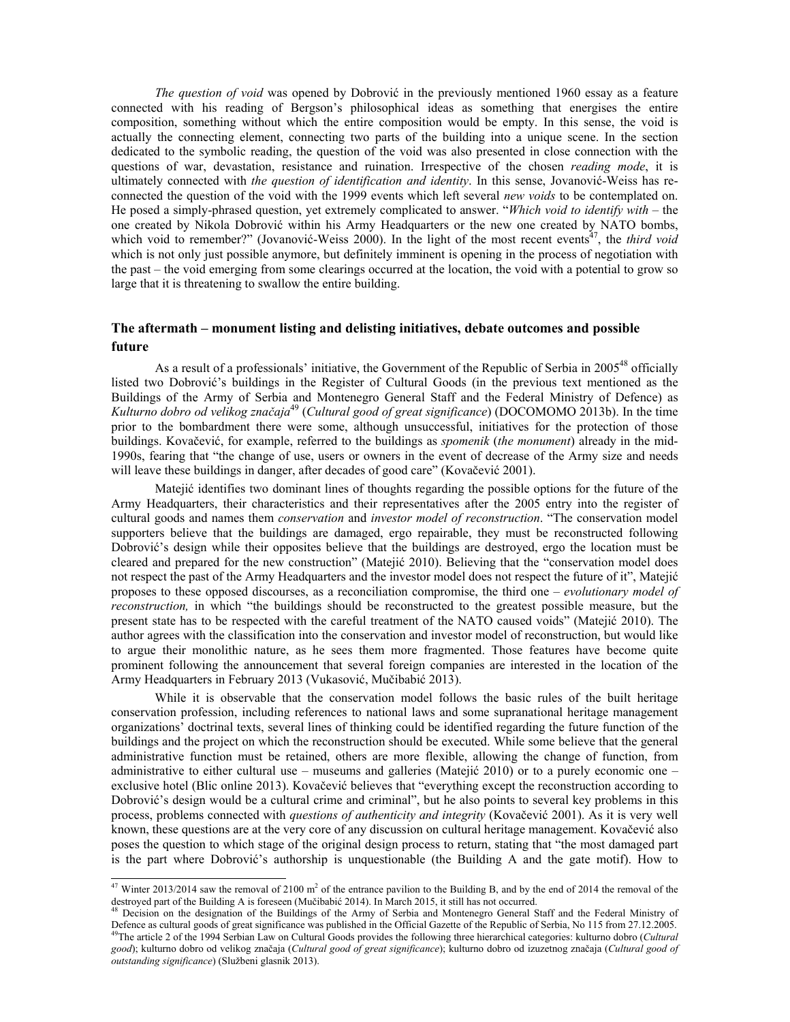*The question of void* was opened by Dobrović in the previously mentioned 1960 essay as a feature connected with his reading of Bergson's philosophical ideas as something that energises the entire composition, something without which the entire composition would be empty. In this sense, the void is actually the connecting element, connecting two parts of the building into a unique scene. In the section dedicated to the symbolic reading, the question of the void was also presented in close connection with the questions of war, devastation, resistance and ruination. Irrespective of the chosen *reading mode*, it is ultimately connected with *the question of identification and identity*. In this sense, Jovanović-Weiss has reconnected the question of the void with the 1999 events which left several *new voids* to be contemplated on. He posed a simply-phrased question, yet extremely complicated to answer. "*Which void to identify with* – the one created by Nikola Dobrović within his Army Headquarters or the new one created by NATO bombs, which void to remember?" (Jovanović-Weiss 2000). In the light of the most recent events<sup>47</sup>, the *third void* which is not only just possible anymore, but definitely imminent is opening in the process of negotiation with the past – the void emerging from some clearings occurred at the location, the void with a potential to grow so large that it is threatening to swallow the entire building.

## **The aftermath – monument listing and delisting initiatives, debate outcomes and possible future**

As a result of a professionals' initiative, the Government of the Republic of Serbia in 2005<sup>48</sup> officially listed two Dobrović's buildings in the Register of Cultural Goods (in the previous text mentioned as the Buildings of the Army of Serbia and Montenegro General Staff and the Federal Ministry of Defence) as *Kulturno dobro od velikog značaja*49 (*Cultural good of great significance*) (DOCOMOMO 2013b). In the time prior to the bombardment there were some, although unsuccessful, initiatives for the protection of those buildings. Kovačević, for example, referred to the buildings as *spomenik* (*the monument*) already in the mid-1990s, fearing that "the change of use, users or owners in the event of decrease of the Army size and needs will leave these buildings in danger, after decades of good care" (Kovačević 2001).

Matejić identifies two dominant lines of thoughts regarding the possible options for the future of the Army Headquarters, their characteristics and their representatives after the 2005 entry into the register of cultural goods and names them *conservation* and *investor model of reconstruction*. "The conservation model supporters believe that the buildings are damaged, ergo repairable, they must be reconstructed following Dobrović's design while their opposites believe that the buildings are destroyed, ergo the location must be cleared and prepared for the new construction" (Matejić 2010). Believing that the "conservation model does not respect the past of the Army Headquarters and the investor model does not respect the future of it", Matejić proposes to these opposed discourses, as a reconciliation compromise, the third one – *evolutionary model of reconstruction,* in which "the buildings should be reconstructed to the greatest possible measure, but the present state has to be respected with the careful treatment of the NATO caused voids" (Matejić 2010). The author agrees with the classification into the conservation and investor model of reconstruction, but would like to argue their monolithic nature, as he sees them more fragmented. Those features have become quite prominent following the announcement that several foreign companies are interested in the location of the Army Headquarters in February 2013 (Vukasović, Mučibabić 2013).

While it is observable that the conservation model follows the basic rules of the built heritage conservation profession, including references to national laws and some supranational heritage management organizations' doctrinal texts, several lines of thinking could be identified regarding the future function of the buildings and the project on which the reconstruction should be executed. While some believe that the general administrative function must be retained, others are more flexible, allowing the change of function, from administrative to either cultural use – museums and galleries (Matejić 2010) or to a purely economic one – exclusive hotel (Blic online 2013). Kovačević believes that "everything except the reconstruction according to Dobrović's design would be a cultural crime and criminal", but he also points to several key problems in this process, problems connected with *questions of authenticity and integrity* (Kovačević 2001). As it is very well known, these questions are at the very core of any discussion on cultural heritage management. Kovačević also poses the question to which stage of the original design process to return, stating that "the most damaged part is the part where Dobrović's authorship is unquestionable (the Building A and the gate motif). How to

<sup>&</sup>lt;sup>47</sup> Winter 2013/2014 saw the removal of 2100 m<sup>2</sup> of the entrance pavilion to the Building B, and by the end of 2014 the removal of the

destroyed part of the Building A is foreseen (Mučibabić 2014). In March 2015, it still has not occurred.<br><sup>48</sup> Decision on the designation of the Buildings of the Army of Serbia and Montenegro General Staff and the Federal  $^{49}$ The article 2 of the 1994 Serbian Law on Cultural Goods provides the following three hierarchical categories: kulturno dobro (Cultural

*good*); kulturno dobro od velikog značaja (*Cultural good of great significance*); kulturno dobro od izuzetnog značaja (*Cultural good of outstanding significance*) (Službeni glasnik 2013).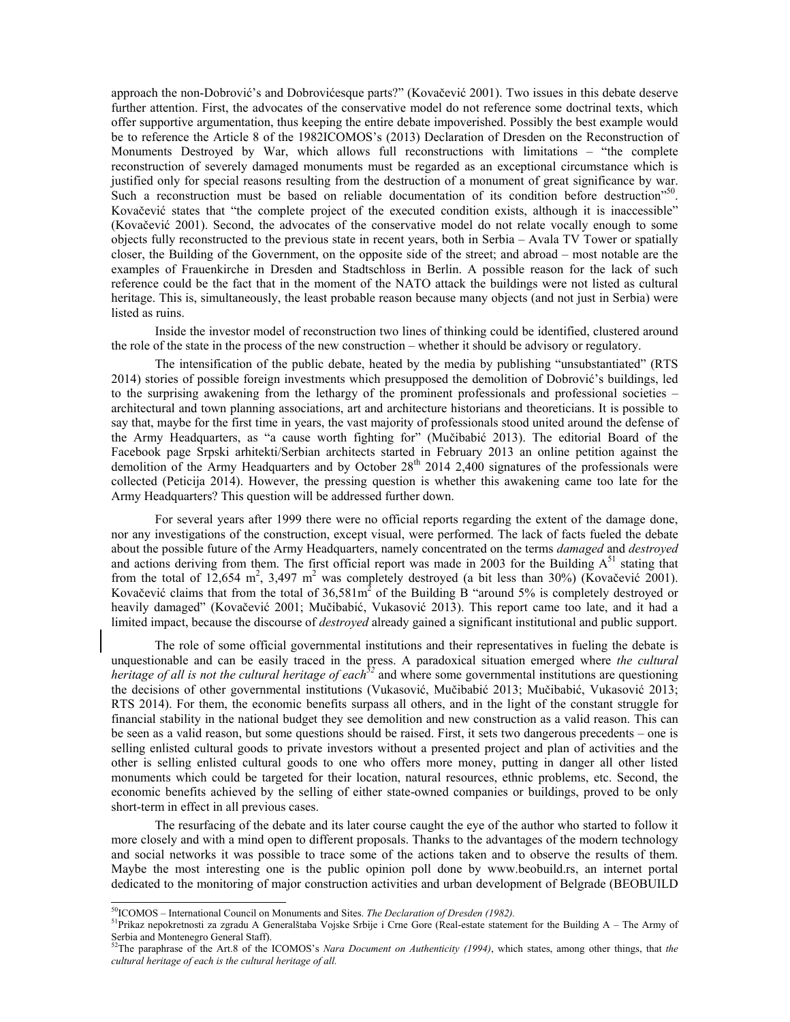approach the non-Dobrović's and Dobrovićesque parts?" (Kovačević 2001). Two issues in this debate deserve further attention. First, the advocates of the conservative model do not reference some doctrinal texts, which offer supportive argumentation, thus keeping the entire debate impoverished. Possibly the best example would be to reference the Article 8 of the 1982ICOMOS's (2013) Declaration of Dresden on the Reconstruction of Monuments Destroyed by War, which allows full reconstructions with limitations – "the complete reconstruction of severely damaged monuments must be regarded as an exceptional circumstance which is justified only for special reasons resulting from the destruction of a monument of great significance by war. Such a reconstruction must be based on reliable documentation of its condition before destruction"<sup>50</sup>. Kovačević states that "the complete project of the executed condition exists, although it is inaccessible" (Kovačević 2001). Second, the advocates of the conservative model do not relate vocally enough to some objects fully reconstructed to the previous state in recent years, both in Serbia – Avala TV Tower or spatially closer, the Building of the Government, on the opposite side of the street; and abroad – most notable are the examples of Frauenkirche in Dresden and Stadtschloss in Berlin. A possible reason for the lack of such reference could be the fact that in the moment of the NATO attack the buildings were not listed as cultural heritage. This is, simultaneously, the least probable reason because many objects (and not just in Serbia) were listed as ruins.

Inside the investor model of reconstruction two lines of thinking could be identified, clustered around the role of the state in the process of the new construction – whether it should be advisory or regulatory.

The intensification of the public debate, heated by the media by publishing "unsubstantiated" (RTS 2014) stories of possible foreign investments which presupposed the demolition of Dobrović's buildings, led to the surprising awakening from the lethargy of the prominent professionals and professional societies – architectural and town planning associations, art and architecture historians and theoreticians. It is possible to say that, maybe for the first time in years, the vast majority of professionals stood united around the defense of the Army Headquarters, as "a cause worth fighting for" (Mučibabić 2013). The editorial Board of the Facebook page Srpski arhitekti/Serbian architects started in February 2013 an online petition against the demolition of the Army Headquarters and by October  $28<sup>th</sup>$  2014 2,400 signatures of the professionals were collected (Peticija 2014). However, the pressing question is whether this awakening came too late for the Army Headquarters? This question will be addressed further down.

For several years after 1999 there were no official reports regarding the extent of the damage done, nor any investigations of the construction, except visual, were performed. The lack of facts fueled the debate about the possible future of the Army Headquarters, namely concentrated on the terms *damaged* and *destroyed* and actions deriving from them. The first official report was made in 2003 for the Building  $A<sup>51</sup>$  stating that from the total of 12,654 m<sup>2</sup>, 3,497 m<sup>2</sup> was completely destroyed (a bit less than 30%) (Kovačević 2001). Kovačević claims that from the total of  $36,581m^2$  of the Building B "around 5% is completely destroyed or heavily damaged" (Kovačević 2001; Mučibabić, Vukasović 2013). This report came too late, and it had a limited impact, because the discourse of *destroyed* already gained a significant institutional and public support.

The role of some official governmental institutions and their representatives in fueling the debate is unquestionable and can be easily traced in the press. A paradoxical situation emerged where *the cultural heritage of all is not the cultural heritage of each<sup>52</sup>* and where some governmental institutions are questioning the decisions of other governmental institutions (Vukasović, Mučibabić 2013; Mučibabić, Vukasović 2013; RTS 2014). For them, the economic benefits surpass all others, and in the light of the constant struggle for financial stability in the national budget they see demolition and new construction as a valid reason. This can be seen as a valid reason, but some questions should be raised. First, it sets two dangerous precedents – one is selling enlisted cultural goods to private investors without a presented project and plan of activities and the other is selling enlisted cultural goods to one who offers more money, putting in danger all other listed monuments which could be targeted for their location, natural resources, ethnic problems, etc. Second, the economic benefits achieved by the selling of either state-owned companies or buildings, proved to be only short-term in effect in all previous cases.

The resurfacing of the debate and its later course caught the eye of the author who started to follow it more closely and with a mind open to different proposals. Thanks to the advantages of the modern technology and social networks it was possible to trace some of the actions taken and to observe the results of them. Maybe the most interesting one is the public opinion poll done by www.beobuild.rs, an internet portal dedicated to the monitoring of major construction activities and urban development of Belgrade (BEOBUILD

<sup>&</sup>lt;sup>50</sup>ICOMOS - International Council on Monuments and Sites. The Declaration of Dresden (1982).

<sup>&</sup>lt;sup>51</sup>Prikaz nepokretnosti za zgradu A Generalštaba Vojske Srbije i Crne Gore (Real-estate statement for the Building A - The Army of Serbia and Montenegro General Staff).<br><sup>52</sup>The paraphrase of the Art.8 of the ICOMOS's *Nara Document on Authenticity (1994)*, which states, among other things, that *the* 

*cultural heritage of each is the cultural heritage of all.*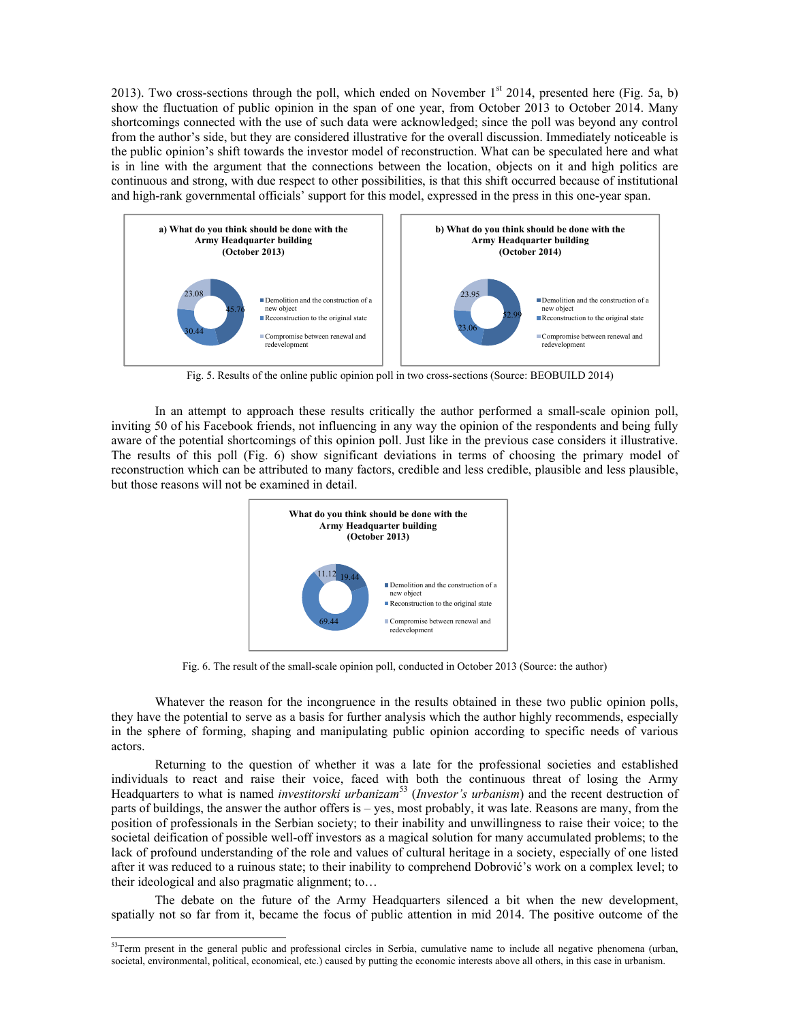2013). Two cross-sections through the poll, which ended on November  $1<sup>st</sup>$  2014, presented here (Fig. 5a, b) show the fluctuation of public opinion in the span of one year, from October 2013 to October 2014. Many shortcomings connected with the use of such data were acknowledged; since the poll was beyond any control from the author's side, but they are considered illustrative for the overall discussion. Immediately noticeable is the public opinion's shift towards the investor model of reconstruction. What can be speculated here and what is in line with the argument that the connections between the location, objects on it and high politics are continuous and strong, with due respect to other possibilities, is that this shift occurred because of institutional and high-rank governmental officials' support for this model, expressed in the press in this one-year span.



Fig. 5. Results of the online public opinion poll in two cross-sections (Source: BEOBUILD 2014)

In an attempt to approach these results critically the author performed a small-scale opinion poll, inviting 50 of his Facebook friends, not influencing in any way the opinion of the respondents and being fully aware of the potential shortcomings of this opinion poll. Just like in the previous case considers it illustrative. The results of this poll (Fig. 6) show significant deviations in terms of choosing the primary model of reconstruction which can be attributed to many factors, credible and less credible, plausible and less plausible, but those reasons will not be examined in detail.



Fig. 6. The result of the small-scale opinion poll, conducted in October 2013 (Source: the author)

Whatever the reason for the incongruence in the results obtained in these two public opinion polls, they have the potential to serve as a basis for further analysis which the author highly recommends, especially in the sphere of forming, shaping and manipulating public opinion according to specific needs of various actors.

Returning to the question of whether it was a late for the professional societies and established individuals to react and raise their voice, faced with both the continuous threat of losing the Army Headquarters to what is named *investitorski urbanizam*53 (*Investor's urbanism*) and the recent destruction of parts of buildings, the answer the author offers is – yes, most probably, it was late. Reasons are many, from the position of professionals in the Serbian society; to their inability and unwillingness to raise their voice; to the societal deification of possible well-off investors as a magical solution for many accumulated problems; to the lack of profound understanding of the role and values of cultural heritage in a society, especially of one listed after it was reduced to a ruinous state; to their inability to comprehend Dobrović's work on a complex level; to their ideological and also pragmatic alignment; to…

The debate on the future of the Army Headquarters silenced a bit when the new development, spatially not so far from it, became the focus of public attention in mid 2014. The positive outcome of the

 $\overline{\phantom{0}}$  $53$ Term present in the general public and professional circles in Serbia, cumulative name to include all negative phenomena (urban, societal, environmental, political, economical, etc.) caused by putting the economic interests above all others, in this case in urbanism.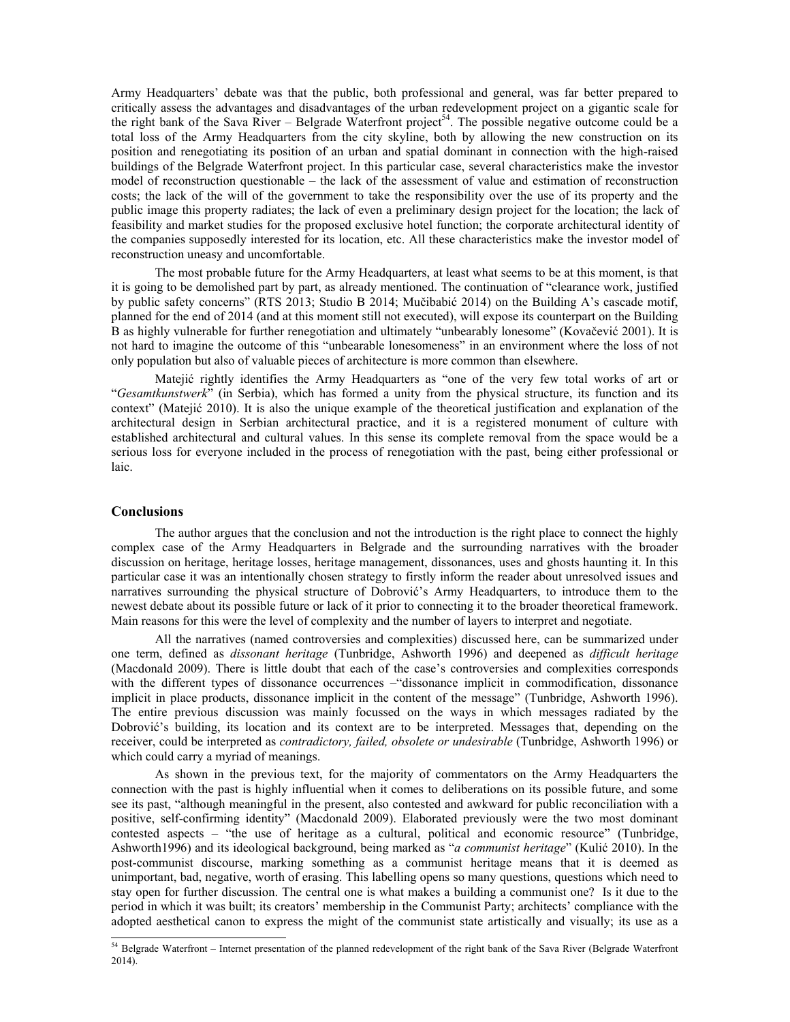Army Headquarters' debate was that the public, both professional and general, was far better prepared to critically assess the advantages and disadvantages of the urban redevelopment project on a gigantic scale for the right bank of the Sava River – Belgrade Waterfront project<sup>54</sup>. The possible negative outcome could be a total loss of the Army Headquarters from the city skyline, both by allowing the new construction on its position and renegotiating its position of an urban and spatial dominant in connection with the high-raised buildings of the Belgrade Waterfront project. In this particular case, several characteristics make the investor model of reconstruction questionable – the lack of the assessment of value and estimation of reconstruction costs; the lack of the will of the government to take the responsibility over the use of its property and the public image this property radiates; the lack of even a preliminary design project for the location; the lack of feasibility and market studies for the proposed exclusive hotel function; the corporate architectural identity of the companies supposedly interested for its location, etc. All these characteristics make the investor model of reconstruction uneasy and uncomfortable.

The most probable future for the Army Headquarters, at least what seems to be at this moment, is that it is going to be demolished part by part, as already mentioned. The continuation of "clearance work, justified by public safety concerns" (RTS 2013; Studio B 2014; Mučibabić 2014) on the Building A's cascade motif, planned for the end of 2014 (and at this moment still not executed), will expose its counterpart on the Building B as highly vulnerable for further renegotiation and ultimately "unbearably lonesome" (Kovačević 2001). It is not hard to imagine the outcome of this "unbearable lonesomeness" in an environment where the loss of not only population but also of valuable pieces of architecture is more common than elsewhere.

Matejić rightly identifies the Army Headquarters as "one of the very few total works of art or "*Gesamtkunstwerk*" (in Serbia), which has formed a unity from the physical structure, its function and its context" (Matejić 2010). It is also the unique example of the theoretical justification and explanation of the architectural design in Serbian architectural practice, and it is a registered monument of culture with established architectural and cultural values. In this sense its complete removal from the space would be a serious loss for everyone included in the process of renegotiation with the past, being either professional or laic.

## **Conclusions**

The author argues that the conclusion and not the introduction is the right place to connect the highly complex case of the Army Headquarters in Belgrade and the surrounding narratives with the broader discussion on heritage, heritage losses, heritage management, dissonances, uses and ghosts haunting it. In this particular case it was an intentionally chosen strategy to firstly inform the reader about unresolved issues and narratives surrounding the physical structure of Dobrović's Army Headquarters, to introduce them to the newest debate about its possible future or lack of it prior to connecting it to the broader theoretical framework. Main reasons for this were the level of complexity and the number of layers to interpret and negotiate.

All the narratives (named controversies and complexities) discussed here, can be summarized under one term, defined as *dissonant heritage* (Tunbridge, Ashworth 1996) and deepened as *difficult heritage*  (Macdonald 2009). There is little doubt that each of the case's controversies and complexities corresponds with the different types of dissonance occurrences – "dissonance implicit in commodification, dissonance implicit in place products, dissonance implicit in the content of the message" (Tunbridge, Ashworth 1996). The entire previous discussion was mainly focussed on the ways in which messages radiated by the Dobrović's building, its location and its context are to be interpreted. Messages that, depending on the receiver, could be interpreted as *contradictory, failed, obsolete or undesirable* (Tunbridge, Ashworth 1996) or which could carry a myriad of meanings.

As shown in the previous text, for the majority of commentators on the Army Headquarters the connection with the past is highly influential when it comes to deliberations on its possible future, and some see its past, "although meaningful in the present, also contested and awkward for public reconciliation with a positive, self-confirming identity" (Macdonald 2009). Elaborated previously were the two most dominant contested aspects – "the use of heritage as a cultural, political and economic resource" (Tunbridge, Ashworth1996) and its ideological background, being marked as "*a communist heritage*" (Kulić 2010). In the post-communist discourse, marking something as a communist heritage means that it is deemed as unimportant, bad, negative, worth of erasing. This labelling opens so many questions, questions which need to stay open for further discussion. The central one is what makes a building a communist one? Is it due to the period in which it was built; its creators' membership in the Communist Party; architects' compliance with the adopted aesthetical canon to express the might of the communist state artistically and visually; its use as a

<sup>&</sup>lt;sup>54</sup> Belgrade Waterfront – Internet presentation of the planned redevelopment of the right bank of the Sava River (Belgrade Waterfront 2014).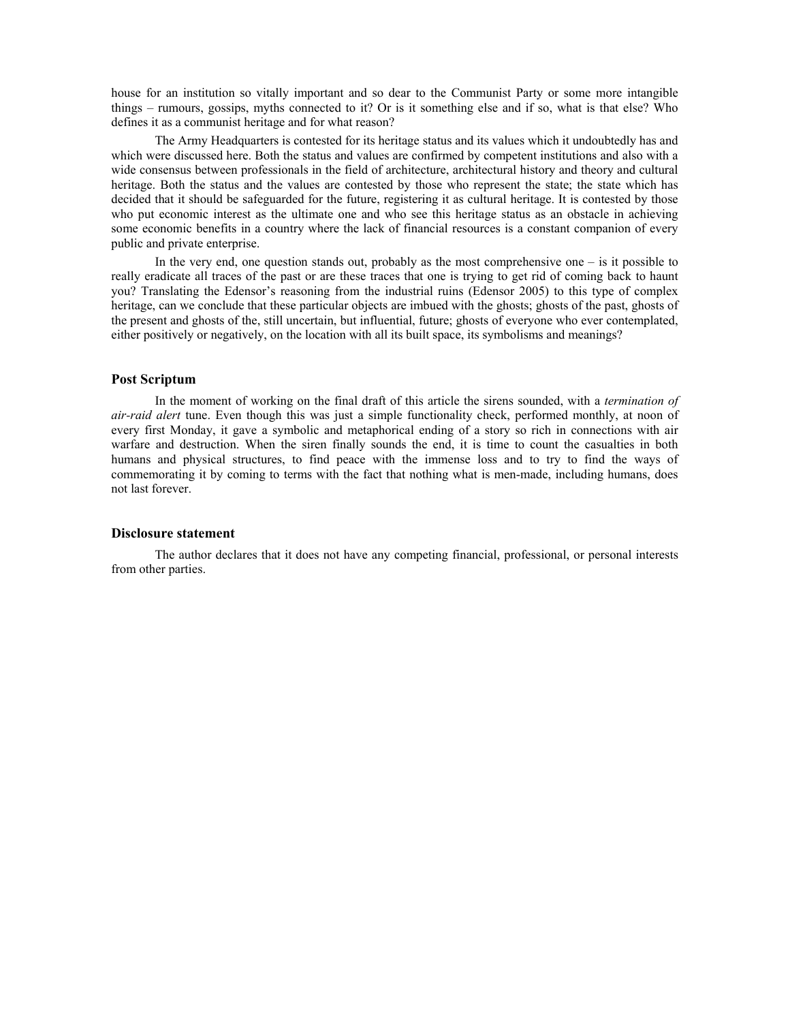house for an institution so vitally important and so dear to the Communist Party or some more intangible things – rumours, gossips, myths connected to it? Or is it something else and if so, what is that else? Who defines it as a communist heritage and for what reason?

The Army Headquarters is contested for its heritage status and its values which it undoubtedly has and which were discussed here. Both the status and values are confirmed by competent institutions and also with a wide consensus between professionals in the field of architecture, architectural history and theory and cultural heritage. Both the status and the values are contested by those who represent the state; the state which has decided that it should be safeguarded for the future, registering it as cultural heritage. It is contested by those who put economic interest as the ultimate one and who see this heritage status as an obstacle in achieving some economic benefits in a country where the lack of financial resources is a constant companion of every public and private enterprise.

In the very end, one question stands out, probably as the most comprehensive one – is it possible to really eradicate all traces of the past or are these traces that one is trying to get rid of coming back to haunt you? Translating the Edensor's reasoning from the industrial ruins (Edensor 2005) to this type of complex heritage, can we conclude that these particular objects are imbued with the ghosts; ghosts of the past, ghosts of the present and ghosts of the, still uncertain, but influential, future; ghosts of everyone who ever contemplated, either positively or negatively, on the location with all its built space, its symbolisms and meanings?

### **Post Scriptum**

In the moment of working on the final draft of this article the sirens sounded, with a *termination of air-raid alert* tune. Even though this was just a simple functionality check, performed monthly, at noon of every first Monday, it gave a symbolic and metaphorical ending of a story so rich in connections with air warfare and destruction. When the siren finally sounds the end, it is time to count the casualties in both humans and physical structures, to find peace with the immense loss and to try to find the ways of commemorating it by coming to terms with the fact that nothing what is men-made, including humans, does not last forever.

#### **Disclosure statement**

The author declares that it does not have any competing financial, professional, or personal interests from other parties.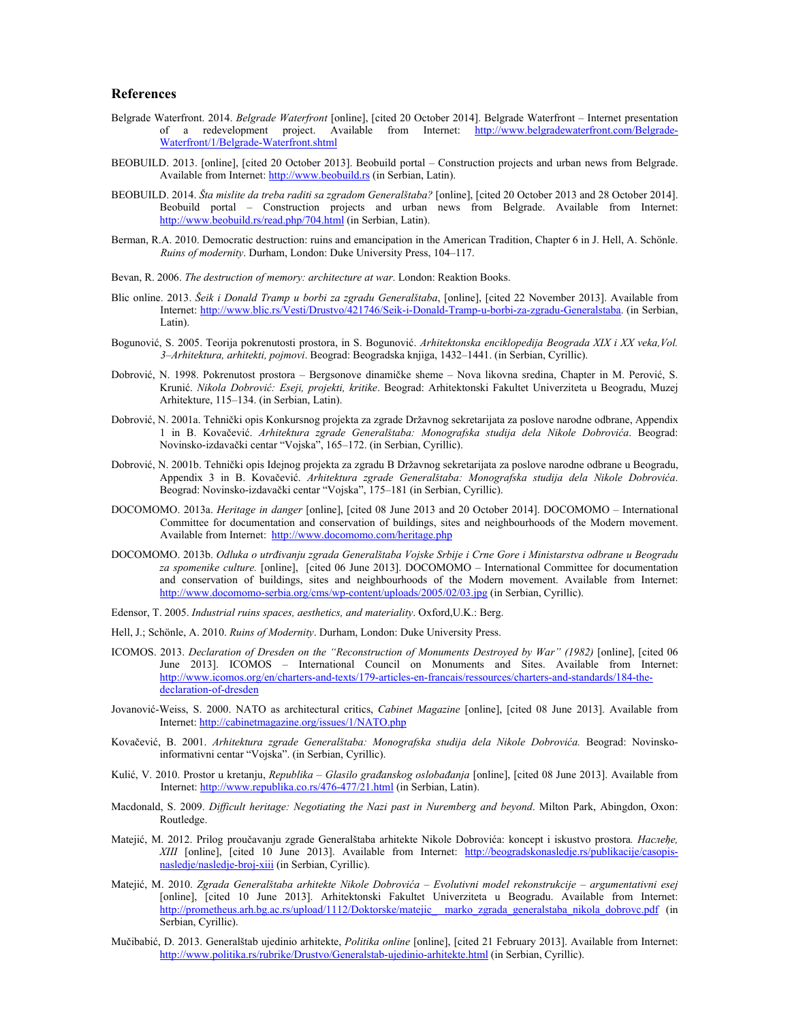#### **References**

- Belgrade Waterfront. 2014. *Belgrade Waterfront* [online], [cited 20 October 2014]. Belgrade Waterfront Internet presentation of a redevelopment project. Available from Internet: http://www.belgradewaterfront.com/Belgrade-Waterfront/1/Belgrade-Waterfront.shtml
- BEOBUILD. 2013. [online], [cited 20 October 2013]. Beobuild portal Construction projects and urban news from Belgrade. Available from Internet: http://www.beobuild.rs (in Serbian, Latin).
- BEOBUILD. 2014. *Šta mislite da treba raditi sa zgradom Generalštaba?* [online], [cited 20 October 2013 and 28 October 2014]. Beobuild portal – Construction projects and urban news from Belgrade. Available from Internet: http://www.beobuild.rs/read.php/704.html (in Serbian, Latin).
- Berman, R.A. 2010. Democratic destruction: ruins and emancipation in the American Tradition, Chapter 6 in J. Hell, A. Schönle. *Ruins of modernity*. Durham, London: Duke University Press, 104–117.
- Bevan, R. 2006. *The destruction of memory: architecture at war*. London: Reaktion Books.
- Blic online. 2013. *Šeik i Donald Tramp u borbi za zgradu Generalštaba*, [online], [cited 22 November 2013]. Available from Internet: http://www.blic.rs/Vesti/Drustvo/421746/Seik-i-Donald-Tramp-u-borbi-za-zgradu-Generalstaba. (in Serbian, Latin).
- Bogunović, S. 2005. Teorija pokrenutosti prostora, in S. Bogunović. *Arhitektonska enciklopedija Beograda XIX i XX veka,Vol. 3–Arhitektura, arhitekti, pojmovi*. Beograd: Beogradska knjiga, 1432–1441. (in Serbian, Cyrillic).
- Dobrović, N. 1998. Pokrenutost prostora Bergsonove dinamičke sheme Nova likovna sredina, Chapter in M. Perović, S. Krunić. *Nikola Dobrović: Eseji, projekti, kritike*. Beograd: Arhitektonski Fakultet Univerziteta u Beogradu, Muzej Arhitekture, 115–134. (in Serbian, Latin).
- Dobrović, N. 2001a. Tehnički opis Konkursnog projekta za zgrade Državnog sekretarijata za poslove narodne odbrane, Appendix 1 in B. Kovačević. *Arhitektura zgrade Generalštaba: Monografska studija dela Nikole Dobrovića*. Beograd: Novinsko-izdavački centar "Vojska", 165–172. (in Serbian, Cyrillic).
- Dobrović, N. 2001b. Tehnički opis Idejnog projekta za zgradu B Državnog sekretarijata za poslove narodne odbrane u Beogradu, Appendix 3 in B. Kovačević. *Arhitektura zgrade Generalštaba: Monografska studija dela Nikole Dobrovića*. Beograd: Novinsko-izdavački centar "Vojska", 175–181 (in Serbian, Cyrillic).
- DOCOMOMO. 2013a. *Heritage in danger* [online], [cited 08 June 2013 and 20 October 2014]. DOCOMOMO International Committee for documentation and conservation of buildings, sites and neighbourhoods of the Modern movement. Available from Internet: http://www.docomomo.com/heritage.php
- DOCOMOMO. 2013b. *Odluka o utrđivanju zgrada Generalštaba Vojske Srbije i Crne Gore i Ministarstva odbrane u Beogradu za spomenike culture.* [online], [cited 06 June 2013]. DOCOMOMO – International Committee for documentation and conservation of buildings, sites and neighbourhoods of the Modern movement. Available from Internet: http://www.docomomo-serbia.org/cms/wp-content/uploads/2005/02/03.jpg (in Serbian, Cyrillic).
- Edensor, T. 2005. *Industrial ruins spaces, aesthetics, and materiality*. Oxford,U.K.: Berg.
- Hell, J.; Schönle, A. 2010. *Ruins of Modernity*. Durham, London: Duke University Press.
- ICOMOS. 2013. *Declaration of Dresden on the "Reconstruction of Monuments Destroyed by War" (1982)* [online], [cited 06 June 2013]. ICOMOS – International Council on Monuments and Sites. Available from Internet: http://www.icomos.org/en/charters-and-texts/179-articles-en-francais/ressources/charters-and-standards/184-thedeclaration-of-dresden
- Jovanović-Weiss, S. 2000. NATO as architectural critics, *Cabinet Magazine* [online], [cited 08 June 2013]. Available from Internet: http://cabinetmagazine.org/issues/1/NATO.php
- Kovačević, B. 2001. *Arhitektura zgrade Generalštaba: Monografska studija dela Nikole Dobrovića.* Beograd: Novinskoinformativni centar "Vojska". (in Serbian, Cyrillic).
- Kulić, V. 2010. Prostor u kretanju, *Republika Glasilo građanskog oslobađanja* [online], [cited 08 June 2013]. Available from Internet: http://www.republika.co.rs/476-477/21.html (in Serbian, Latin).
- Macdonald, S. 2009. *Difficult heritage: Negotiating the Nazi past in Nuremberg and beyond*. Milton Park, Abingdon, Oxon: Routledge.
- Matejić, M. 2012. Prilog proučavanju zgrade Generalštaba arhitekte Nikole Dobrovića: koncept i iskustvo prostora*. Hаслеђе, XIII* [online], [cited 10 June 2013]. Available from Internet: http://beogradskonasledje.rs/publikacije/casopisnasledje/nasledje-broj-xiii (in Serbian, Cyrillic).
- Matejić, M. 2010. *Zgrada Generalštaba arhitekte Nikole Dobrovića Evolutivni model rekonstrukcije argumentativni esej* [online], [cited 10 June 2013]. Arhitektonski Fakultet Univerziteta u Beogradu. Available from Internet: http://prometheus.arh.bg.ac.rs/upload/1112/Doktorske/matejic\_ marko\_zgrada\_generalstaba\_nikola\_dobrovc.pdf (in Serbian, Cyrillic).
- Mučibabić, D. 2013. Generalštab ujedinio arhitekte, *Politika online* [online], [cited 21 February 2013]. Available from Internet: http://www.politika.rs/rubrike/Drustvo/Generalstab-ujedinio-arhitekte.html (in Serbian, Cyrillic).